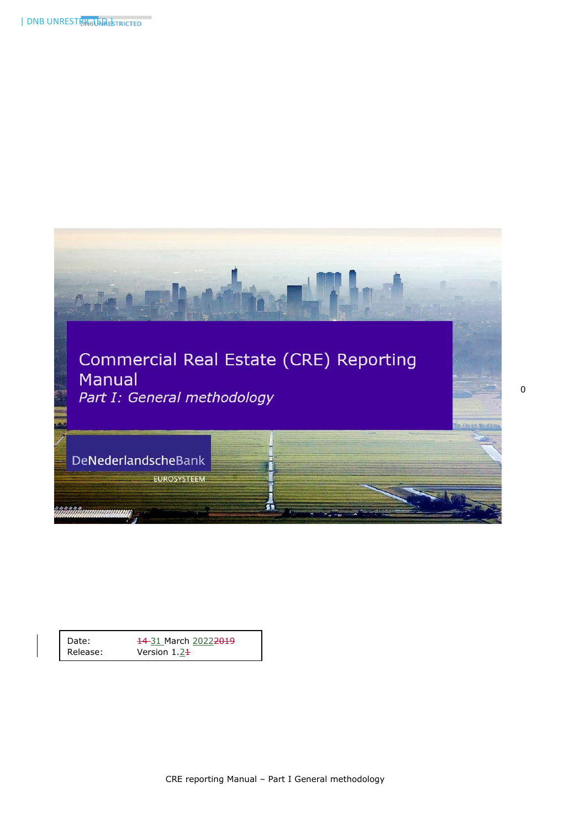

| Date:    | 14-31 March 20222019 |
|----------|----------------------|
| Release: | Version $1.24$       |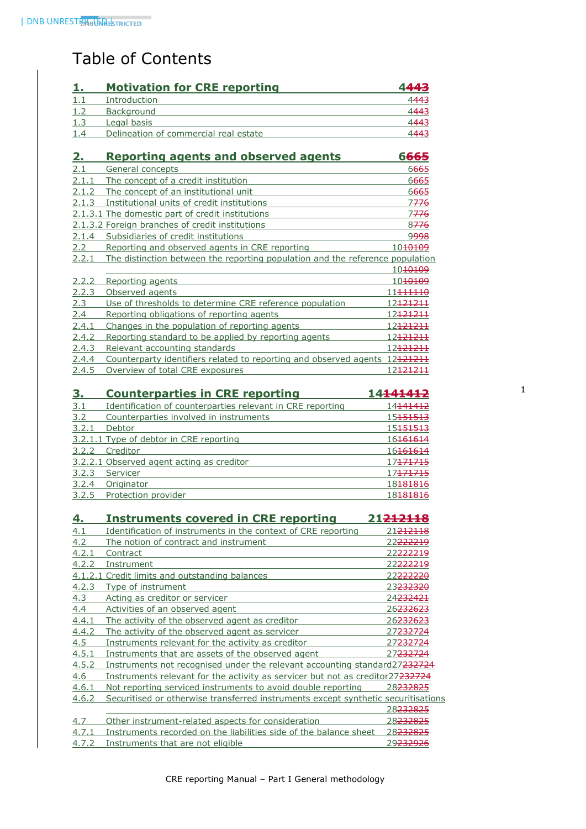# Table of Contents

| <u>1.</u>    | <b>Motivation for CRE reporting</b>                                           | 4443                        |
|--------------|-------------------------------------------------------------------------------|-----------------------------|
| 1.1          | Introduction                                                                  | 4443                        |
| 1.2          | Background                                                                    | 4443                        |
| 1.3          | Legal basis                                                                   | 4443                        |
| 1.4          | Delineation of commercial real estate                                         | 4443                        |
|              |                                                                               |                             |
| 2.           | <b>Reporting agents and observed agents</b>                                   | 6665                        |
| 2.1          | General concepts                                                              | 6665                        |
| 2.1.1        | The concept of a credit institution                                           | 6665                        |
| 2.1.2        | The concept of an institutional unit                                          | 6665                        |
| 2.1.3        | Institutional units of credit institutions                                    | 7776                        |
|              | 2.1.3.1 The domestic part of credit institutions                              | 7776                        |
|              | 2.1.3.2 Foreign branches of credit institutions                               | 8776                        |
| 2.1.4        | Subsidiaries of credit institutions                                           | 9998                        |
| 2.2          | Reporting and observed agents in CRE reporting                                | 10 <del>10109</del>         |
| 2.2.1        | The distinction between the reporting population and the reference population |                             |
|              |                                                                               | 10 <del>10109</del>         |
| 2.2.2        | Reporting agents                                                              | 10 <del>10109</del>         |
| 2.2.3        | Observed agents                                                               | 11 <del>111110</del>        |
| 2.3          | Use of thresholds to determine CRE reference population                       | 12 <del>121211</del>        |
| 2.4          | Reporting obligations of reporting agents                                     | 12 <del>121211</del>        |
| 2.4.1        | Changes in the population of reporting agents                                 | 12 <del>121211</del>        |
| 2.4.2        | Reporting standard to be applied by reporting agents                          | 12 <del>121211</del>        |
| 2.4.3        | Relevant accounting standards                                                 | 12 <del>121211</del>        |
| 2.4.4        | Counterparty identifiers related to reporting and observed agents 12121211    |                             |
| 2.4.5        | Overview of total CRE exposures                                               | 12 <del>121211</del>        |
| <u>3.</u>    | <b>Counterparties in CRE reporting</b>                                        | 14 <del>141412</del>        |
| 3.1          | Identification of counterparties relevant in CRE reporting                    | 14 <del>141412</del>        |
| 3.2          | Counterparties involved in instruments                                        | 15 <del>151513</del>        |
| 3.2.1        | Debtor                                                                        | 15 <del>151513</del>        |
|              | 3.2.1.1 Type of debtor in CRE reporting                                       | 16161614                    |
| 3.2.2        | Creditor                                                                      | 16161614                    |
|              | 3.2.2.1 Observed agent acting as creditor                                     | 17471715                    |
| 3.2.3        | Servicer                                                                      | 17 <del>171715</del>        |
| 3.2.4        | Originator                                                                    | 18181816                    |
| 3.2.5        | Protection provider                                                           | 18181816                    |
|              |                                                                               |                             |
| 4.           | <u>Instruments covered in CRE reporting</u>                                   | 21 <del>212118</del>        |
| 4.1          | Identification of instruments in the context of CRE reporting                 | 21 <del>212118</del>        |
| 4.2          | The notion of contract and instrument                                         | 22 <del>222219</del>        |
| 4.2.1        | Contract                                                                      | 22 <del>222219</del>        |
| 4.2.2        | Instrument                                                                    | 22 <del>222219</del>        |
|              | 4.1.2.1 Credit limits and outstanding balances                                | 22 <del>222220</del>        |
| 4.2.3        | Type of instrument                                                            | 23 <del>232320</del>        |
| 4.3          | Acting as creditor or servicer                                                | 24 <del>232421</del>        |
| 4.4          | Activities of an observed agent                                               | 26 <del>232623</del>        |
| 4.4.1        | The activity of the observed agent as creditor                                | <u> 26<del>232623</del></u> |
| <u>4.4.2</u> | The activity of the observed agent as servicer                                | 27 <del>232724</del>        |
| 4.5          | Instruments relevant for the activity as creditor                             | 27 <del>232724</del>        |
| 4.5.1        | Instruments that are assets of the observed agent                             | 27 <del>232724</del>        |
| 4.5.2        | Instruments not recognised under the relevant accounting standard27232724     |                             |
| 4.6          | Instruments relevant for the activity as servicer but not as creditor27232724 |                             |
| 4.6.1        | Not reporting serviced instruments to avoid double reporting                  | 28 <del>232825</del>        |
|              |                                                                               |                             |

4.6.2 [Securitised or otherwise transferred instruments except synthetic securitisations](#page-28-1) [28232825](#page-28-1)

| 4.7 | Other instrument-related aspects for consideration                               | 28 <del>232825</del> |
|-----|----------------------------------------------------------------------------------|----------------------|
|     | 4.7.1 Instruments recorded on the liabilities side of the balance sheet 28232825 |                      |
|     | 4.7.2 Instruments that are not eligible                                          | 29 <del>232926</del> |

1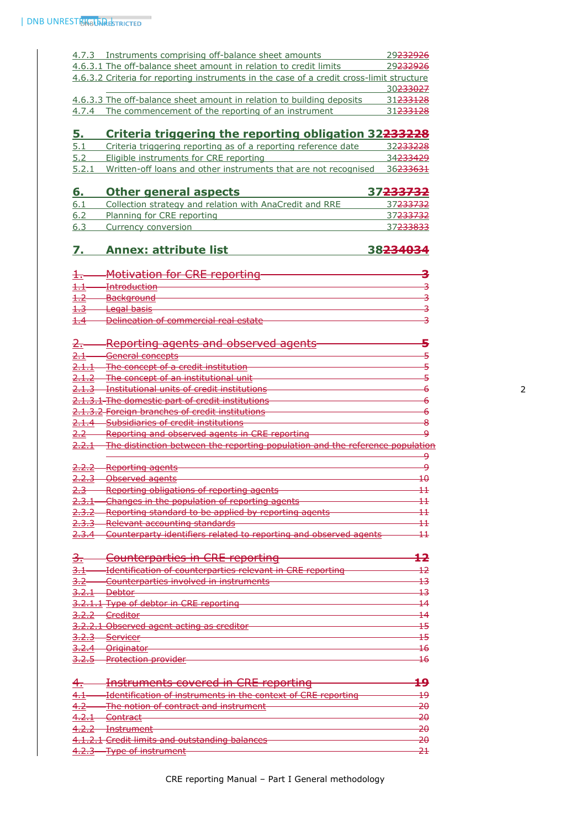| 4.7.3 Instruments comprising off-balance sheet amounts                                   | 29 <del>232926</del> |
|------------------------------------------------------------------------------------------|----------------------|
| 4.6.3.1 The off-balance sheet amount in relation to credit limits                        | 29 <del>232926</del> |
| 4.6.3.2 Criteria for reporting instruments in the case of a credit cross-limit structure |                      |
|                                                                                          | 30 <del>233027</del> |
| 4.6.3.3 The off-balance sheet amount in relation to building deposits                    | 31 <del>233128</del> |
| 4.7.4 The commencement of the reporting of an instrument                                 | 31 <del>233128</del> |

# **5. [Criteria triggering the reporting obligation](#page-32-0) 32233228**

| 5.1 | Criteria triggering reporting as of a reporting reference date                 | 32 <del>233228</del> |
|-----|--------------------------------------------------------------------------------|----------------------|
| 5.2 | Eligible instruments for CRE reporting                                         | 34 <del>233429</del> |
|     | 5.2.1 Written-off loans and other instruments that are not recognised 36233631 |                      |

| 6.  | <b>Other general aspects</b>                            | 37 <del>233732</del> |
|-----|---------------------------------------------------------|----------------------|
| 6.1 | Collection strategy and relation with AnaCredit and RRE | 37 <del>233732</del> |
| 6.2 | Planning for CRE reporting                              | 37 <del>233732</del> |
| 6.3 | Currency conversion                                     | 37 <del>233833</del> |

# **7. [Annex: attribute list](#page-38-0) 38234034**

|      | <b>Motivation for CRE reporting-</b>               |  |
|------|----------------------------------------------------|--|
|      |                                                    |  |
| $+1$ | Introduction                                       |  |
|      | मापाणपपपपण                                         |  |
| $+2$ | <b>Background</b>                                  |  |
|      | <del>background</del>                              |  |
| $+3$ | Logal bacic                                        |  |
|      | <del>Leydi Ddsis</del>                             |  |
|      | Delineation of commercial real estate              |  |
|      | <del>Demication or conflict cldi Tedi estate</del> |  |

| z.               | <u>Reporting agents and observed agents</u>                                          |          |
|------------------|--------------------------------------------------------------------------------------|----------|
|                  |                                                                                      |          |
| <del>2.1</del>   | <del>General concepts</del>                                                          |          |
|                  | <u>The concept of a credit institution</u>                                           |          |
|                  | The concept of an institutional unit                                                 | 5        |
|                  | <b>Institutional units of credit institutions</b>                                    |          |
|                  | <del>.3.1 The domestic part of credit institutions</del>                             |          |
|                  | .3.2 Foreign branches of credit institutions                                         | 6        |
|                  | Subsidiaries of credit institutions                                                  |          |
| <del>2.2</del>   | Reporting and observed agents in CRE reporting                                       | ₽        |
|                  | <u>The distinction between the reporting population and the reference population</u> |          |
|                  |                                                                                      | ۅ        |
|                  | Reporting agents                                                                     | م        |
|                  | Observed agents                                                                      |          |
|                  | Reporting obligations of reporting agents                                            |          |
|                  | Changes in the population of reporting agents                                        |          |
|                  | Reporting standard to be applied by reporting agents                                 |          |
|                  | Relevant accounting standards                                                        |          |
|                  | Counterparty identifiers related to reporting and observed agents                    | $\pm\pm$ |
|                  |                                                                                      |          |
|                  |                                                                                      |          |
| З.               | <u> Counterparties in CRE reporting</u>                                              | 12       |
| <del>3.1</del>   | Identification of counterparties relevant in CRE reporting                           | 12       |
| <del>3.2</del>   | Counterparties involved in instruments                                               | 13       |
| <del>3.2.1</del> | <del>Debtor</del>                                                                    |          |
|                  | 3.2.1.1 Type of debtor in CRE reporting                                              |          |
| <del>3.2.2</del> | <del>- Creditor</del>                                                                | 14       |
|                  | <del>3.2.2.1 Observed agent acting as creditor</del>                                 |          |
| <del>3.2.3</del> | <b>Servicer</b>                                                                      |          |
| <u>3.2.4</u>     | <del>Originator</del>                                                                | 16       |
| 3.2.5            | - <del>Protection provider</del>                                                     | 16       |

|                                       | <b>Instruments covered in CRE reporting</b>                                                                                           |               |
|---------------------------------------|---------------------------------------------------------------------------------------------------------------------------------------|---------------|
| 4.1                                   | Identification of instruments in the context of CDE reporting<br><del>ruenancadon or mad uments in the context or CRE reporting</del> |               |
| 4.2                                   | The notion of contract and instrument<br><u> INC HUNDHUI CUNNICH CHU IIIPADHICH</u>                                                   | <del>20</del> |
| $\Lambda$ $\Omega$ $\Lambda$<br>T.Z.I | $C$ ontract<br>प्रणापवर                                                                                                               | <del>20</del> |
| ר ר ג<br>$T_{1}$ $T_{2}$              | Inctrumont<br><del>mou umant</del>                                                                                                    | <del>20</del> |
|                                       | 4.1.2.1 Credit limits and outstanding balances<br><del>4.1.2.1 Creak limits and outstanding balances</del>                            | <del>20</del> |
|                                       | 122 Type of instrument<br><del>ווטווויוט טפרי די כה גד</del>                                                                          |               |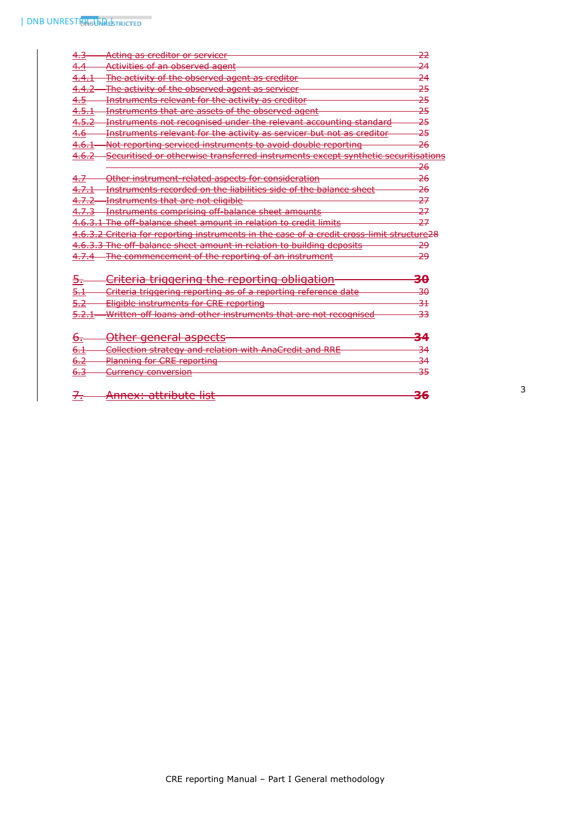| <del>4.3</del> | Acting as creditor or servicer                                                             | جج                    |
|----------------|--------------------------------------------------------------------------------------------|-----------------------|
|                | Activities of an observed agent                                                            | 24                    |
|                | The activity of the observed agent as creditor                                             | 24                    |
|                | The activity of the observed agent as servicer                                             | 25                    |
|                | Instruments relevant for the activity as creditor                                          | 25                    |
| 4.5.1          | Instruments that are assets of the observed agent                                          | 25                    |
|                | Instruments not recognised under the relevant accounting standard                          | 25                    |
| <del>4.6</del> | Instruments relevant for the activity as servicer but not as creditor                      | 25                    |
|                | Not reporting serviced instruments to avoid double reporting                               | 26                    |
| 4.6.2          | Securitised or otherwise transferred instruments except synthetic sec                      | <del>itisations</del> |
|                |                                                                                            | <del>26</del>         |
|                | Other instrument related aspects for consideration                                         | <del>26</del>         |
|                | Instruments recorded on the liabilities side of the balance sheet                          | <del>26</del>         |
|                | Instruments that are not eligible                                                          | 27                    |
|                | Instruments comprising off balance sheet amounts                                           | 27                    |
|                | 4.6.3.1 The off-balance sheet amount in relation to credit limits                          | 27                    |
|                | 4.6.3.2 Criteria for reporting instruments in the case of a credit cross limit structure28 |                       |
|                | 4.6.3.3 The off balance sheet amount in relation to building deposits                      | -29                   |
|                | -The commencement of the reporting of an instrument                                        | مج                    |
| Б.             | <u>Criteria triggering the reporting obligation-</u>                                       | <del>30</del>         |
| <del>5.1</del> | Criteria triggering reporting as of a reporting reference date                             | <del>30</del>         |
|                | Eligible instruments for CRE reporting                                                     | 31                    |
|                | Written off loans and other instruments that are not recognised                            | 33                    |
| <del>6.</del>  | <u>Other general aspects</u> -                                                             |                       |
| <del>6.1</del> | Collection strategy and relation with AnaCredit and RRE                                    | 34                    |
| 6.2            | Planning for CRE reporting                                                                 | 34                    |
| <del>6.3</del> | <del>Currency conversion</del>                                                             | 35                    |
|                | <u> Annex: attribute list</u>                                                              |                       |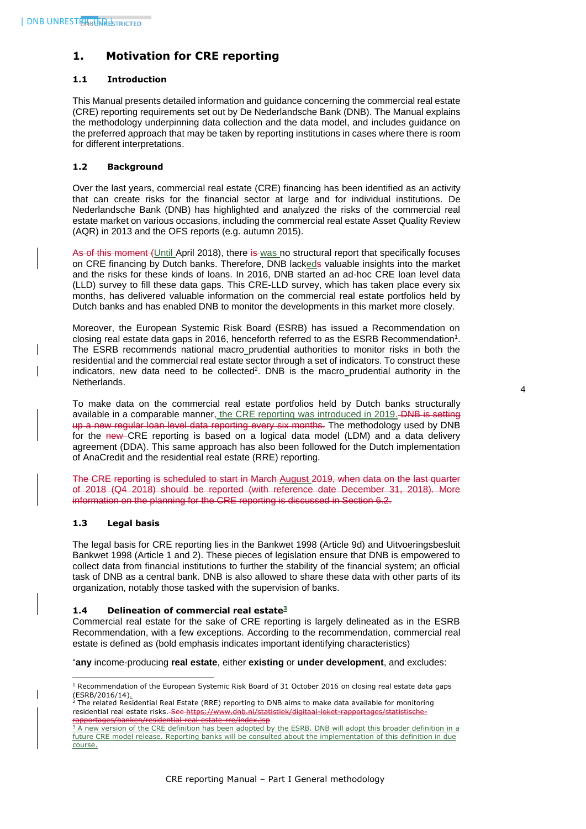# <span id="page-4-0"></span>**1. Motivation for CRE reporting**

# <span id="page-4-1"></span>**1.1 Introduction**

This Manual presents detailed information and guidance concerning the commercial real estate (CRE) reporting requirements set out by De Nederlandsche Bank (DNB). The Manual explains the methodology underpinning data collection and the data model, and includes guidance on the preferred approach that may be taken by reporting institutions in cases where there is room for different interpretations.

# <span id="page-4-2"></span>**1.2 Background**

Over the last years, commercial real estate (CRE) financing has been identified as an activity that can create risks for the financial sector at large and for individual institutions. De Nederlandsche Bank (DNB) has highlighted and analyzed the risks of the commercial real estate market on various occasions, including the commercial real estate Asset Quality Review (AQR) in 2013 and the OFS reports (e.g. autumn 2015).

As of this moment (Until April 2018), there is was no structural report that specifically focuses on CRE financing by Dutch banks. Therefore, DNB lackeds valuable insights into the market and the risks for these kinds of loans. In 2016, DNB started an ad-hoc CRE loan level data (LLD) survey to fill these data gaps. This CRE-LLD survey, which has taken place every six months, has delivered valuable information on the commercial real estate portfolios held by Dutch banks and has enabled DNB to monitor the developments in this market more closely.

Moreover, the European Systemic Risk Board (ESRB) has issued a Recommendation on closing real estate data gaps in 2016, henceforth referred to as the ESRB Recommendation<sup>1</sup>. The ESRB recommends national macro prudential authorities to monitor risks in both the residential and the commercial real estate sector through a set of indicators. To construct these indicators, new data need to be collected<sup>2</sup>. DNB is the macro\_prudential authority in the Netherlands.

To make data on the commercial real estate portfolios held by Dutch banks structurally available in a comparable manner, the CRE reporting was introduced in 2019. DNB is setting up a new regular loan level data reporting every six months. The methodology used by DNB for the new CRE reporting is based on a logical data model (LDM) and a data delivery agreement (DDA). This same approach has also been followed for the Dutch implementation of AnaCredit and the residential real estate (RRE) reporting.

The CRE reporting is scheduled to start in March August 2019, when data on the last quarter of 2018 (Q4 2018) should be reported (with reference date December 31, 2018). More information on the planning for the CRE reporting is discussed in Section 6.2.

# <span id="page-4-3"></span>**1.3 Legal basis**

The legal basis for CRE reporting lies in the Bankwet 1998 (Article 9d) and Uitvoeringsbesluit Bankwet 1998 (Article 1 and 2). These pieces of legislation ensure that DNB is empowered to collect data from financial institutions to further the stability of the financial system; an official task of DNB as a central bank. DNB is also allowed to share these data with other parts of its organization, notably those tasked with the supervision of banks.

# <span id="page-4-4"></span>**1.4 Delineation of commercial real estate<sup>3</sup>**

Commercial real estate for the sake of CRE reporting is largely delineated as in the ESRB Recommendation, with a few exceptions. According to the recommendation, commercial real estate is defined as (bold emphasis indicates important identifying characteristics)

"**any** income-producing **real estate**, either **existing** or **under development**, and excludes:

<sup>1</sup>  $^1$  Recommendation of the European Systemic Risk Board of 31 October 2016 on closing real estate data gaps (ESRB/2016/14)<u>.</u><br><sup>2</sup> The related Residential Real Estate (RRE) reporting to DNB aims to make data available for monitoring

residential real estate risks. See https://www.dnb.nl/statistiek.

<sup>&</sup>lt;mark>rapportages/banken/residential-real-estate-rre/index.jsp</mark><br><sup>3</sup> A new version of the CRE definition has been adopted by the ESRB. DNB will adopt this broader definition in a future CRE model release. Reporting banks will be consulted about the implementation of this definition in due course.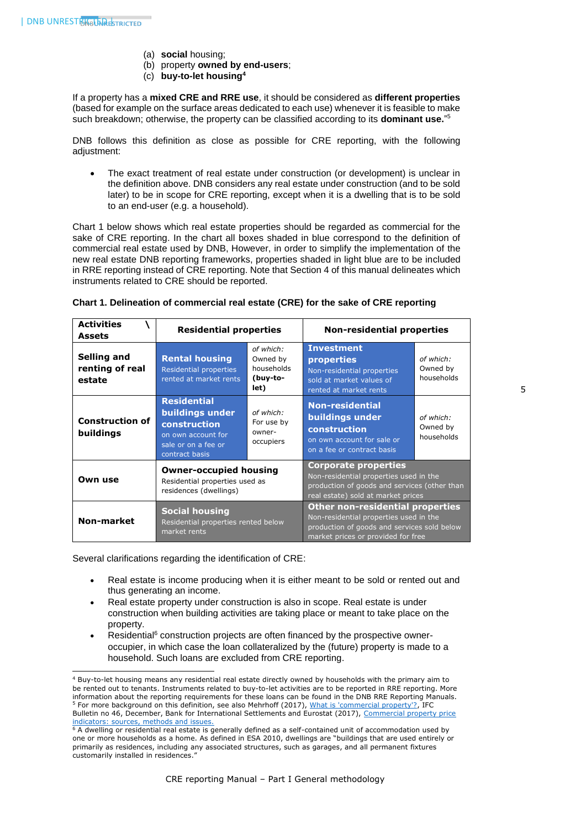- (a) **social** housing;
- (b) property **owned by end-users**;
- (c) **buy-to-let housing<sup>4</sup>**

If a property has a **mixed CRE and RRE use**, it should be considered as **different properties** (based for example on the surface areas dedicated to each use) whenever it is feasible to make such breakdown; otherwise, the property can be classified according to its **dominant use.**" 5

DNB follows this definition as close as possible for CRE reporting, with the following adjustment:

The exact treatment of real estate under construction (or development) is unclear in the definition above. DNB considers any real estate under construction (and to be sold later) to be in scope for CRE reporting, except when it is a dwelling that is to be sold to an end-user (e.g. a household).

Chart 1 below shows which real estate properties should be regarded as commercial for the sake of CRE reporting. In the chart all boxes shaded in blue correspond to the definition of commercial real estate used by DNB, However, in order to simplify the implementation of the new real estate DNB reporting frameworks, properties shaded in light blue are to be included in RRE reporting instead of CRE reporting. Note that Section 4 of this manual delineates which instruments related to CRE should be reported.

| <b>Activities</b><br><b>Assets</b>       | <b>Residential properties</b>                                                                                        |                                                         | <b>Non-residential properties</b>                                                                                                                                      |                                     |
|------------------------------------------|----------------------------------------------------------------------------------------------------------------------|---------------------------------------------------------|------------------------------------------------------------------------------------------------------------------------------------------------------------------------|-------------------------------------|
| Selling and<br>renting of real<br>estate | <b>Rental housing</b><br><b>Residential properties</b><br>rented at market rents                                     | of which:<br>Owned by<br>households<br>(buy-to-<br>let) | <b>Investment</b><br>properties<br>Non-residential properties<br>sold at market values of<br>rented at market rents                                                    | of which:<br>Owned by<br>households |
| <b>Construction of</b><br>buildings      | <b>Residential</b><br>buildings under<br>construction<br>on own account for<br>sale or on a fee or<br>contract basis | of which:<br>For use by<br>owner-<br>occupiers          | <b>Non-residential</b><br>buildings under<br>construction<br>on own account for sale or<br>on a fee or contract basis                                                  | of which:<br>Owned by<br>households |
| Own use                                  | <b>Owner-occupied housing</b><br>Residential properties used as<br>residences (dwellings)                            |                                                         | <b>Corporate properties</b><br>Non-residential properties used in the<br>production of goods and services (other than<br>real estate) sold at market prices            |                                     |
| Non-market                               | <b>Social housing</b><br>Residential properties rented below<br>market rents                                         |                                                         | <b>Other non-residential properties</b><br>Non-residential properties used in the<br>production of goods and services sold below<br>market prices or provided for free |                                     |

| Chart 1. Delineation of commercial real estate (CRE) for the sake of CRE reporting |  |
|------------------------------------------------------------------------------------|--|
|                                                                                    |  |

Several clarifications regarding the identification of CRE:

1

- Real estate is income producing when it is either meant to be sold or rented out and thus generating an income.
- Real estate property under construction is also in scope. Real estate is under construction when building activities are taking place or meant to take place on the property.
- Residential<sup>6</sup> construction projects are often financed by the prospective owneroccupier, in which case the loan collateralized by the (future) property is made to a household. Such loans are excluded from CRE reporting.

<sup>4</sup> Buy-to-let housing means any residential real estate directly owned by households with the primary aim to be rented out to tenants. Instruments related to buy-to-let activities are to be reported in RRE reporting. More information about the reporting requirements for these loans can be found in the DNB RRE Reporting Manuals. <sup>5</sup> For more background on this definition, see also Mehrhoff (2017)[, What is 'commercial property'?,](https://www.bis.org/ifc/publ/ifcb46e.pdf) IFC Bulletin no 46, December, Bank for International Settlements and Eurostat (2017), Commercial property price [indicators: sources, methods and issues.](http://ec.europa.eu/eurostat/documents/7870049/8545612/KS-FT-16-001-EN-N.pdf/9e4bbc9b-8c6f-44a9-b686-1083a7a8fa0f)

<sup>6</sup> A dwelling or residential real estate is generally defined as a self-contained unit of accommodation used by one or more households as a home. As defined in ESA 2010, dwellings are "buildings that are used entirely or primarily as residences, including any associated structures, such as garages, and all permanent fixtures customarily installed in residences."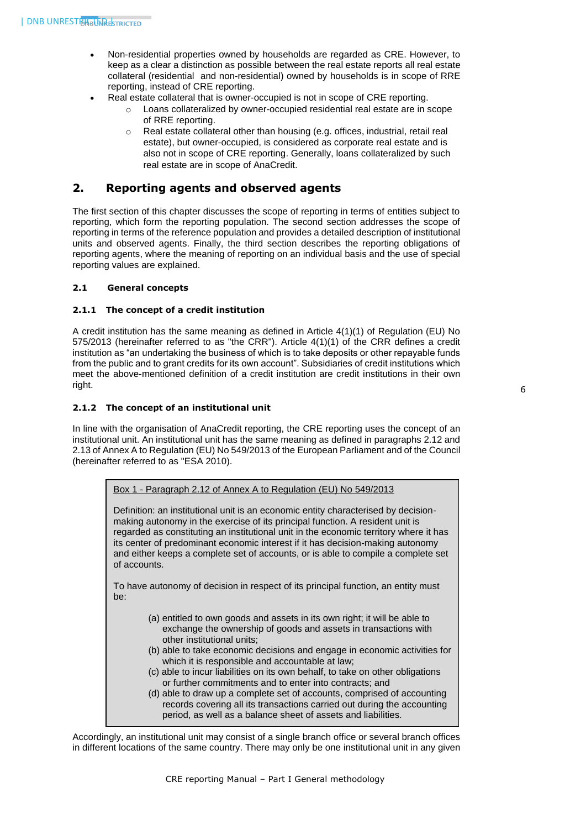- Non-residential properties owned by households are regarded as CRE. However, to keep as a clear a distinction as possible between the real estate reports all real estate collateral (residential and non-residential) owned by households is in scope of RRE reporting, instead of CRE reporting.
- Real estate collateral that is owner-occupied is not in scope of CRE reporting.
	- o Loans collateralized by owner-occupied residential real estate are in scope of RRE reporting.
	- o Real estate collateral other than housing (e.g. offices, industrial, retail real estate), but owner-occupied, is considered as corporate real estate and is also not in scope of CRE reporting. Generally, loans collateralized by such real estate are in scope of AnaCredit.

# <span id="page-6-0"></span>**2. Reporting agents and observed agents**

The first section of this chapter discusses the scope of reporting in terms of entities subject to reporting, which form the reporting population. The second section addresses the scope of reporting in terms of the reference population and provides a detailed description of institutional units and observed agents. Finally, the third section describes the reporting obligations of reporting agents, where the meaning of reporting on an individual basis and the use of special reporting values are explained.

# <span id="page-6-2"></span><span id="page-6-1"></span>**2.1 General concepts**

#### **2.1.1 The concept of a credit institution**

A credit institution has the same meaning as defined in Article 4(1)(1) of Regulation (EU) No 575/2013 (hereinafter referred to as "the CRR"). Article 4(1)(1) of the CRR defines a credit institution as "an undertaking the business of which is to take deposits or other repayable funds from the public and to grant credits for its own account". Subsidiaries of credit institutions which meet the above-mentioned definition of a credit institution are credit institutions in their own right.

### <span id="page-6-3"></span>**2.1.2 The concept of an institutional unit**

In line with the organisation of AnaCredit reporting, the CRE reporting uses the concept of an institutional unit. An institutional unit has the same meaning as defined in paragraphs 2.12 and 2.13 of Annex A to Regulation (EU) No 549/2013 of the European Parliament and of the Council (hereinafter referred to as "ESA 2010).

Box 1 - Paragraph 2.12 of Annex A to Regulation (EU) No 549/2013

Definition: an institutional unit is an economic entity characterised by decisionmaking autonomy in the exercise of its principal function. A resident unit is regarded as constituting an institutional unit in the economic territory where it has its center of predominant economic interest if it has decision-making autonomy and either keeps a complete set of accounts, or is able to compile a complete set of accounts.

To have autonomy of decision in respect of its principal function, an entity must be:

- (a) entitled to own goods and assets in its own right; it will be able to exchange the ownership of goods and assets in transactions with other institutional units;
- (b) able to take economic decisions and engage in economic activities for which it is responsible and accountable at law;
- (c) able to incur liabilities on its own behalf, to take on other obligations or further commitments and to enter into contracts; and
- (d) able to draw up a complete set of accounts, comprised of accounting records covering all its transactions carried out during the accounting period, as well as a balance sheet of assets and liabilities.

Accordingly, an institutional unit may consist of a single branch office or several branch offices in different locations of the same country. There may only be one institutional unit in any given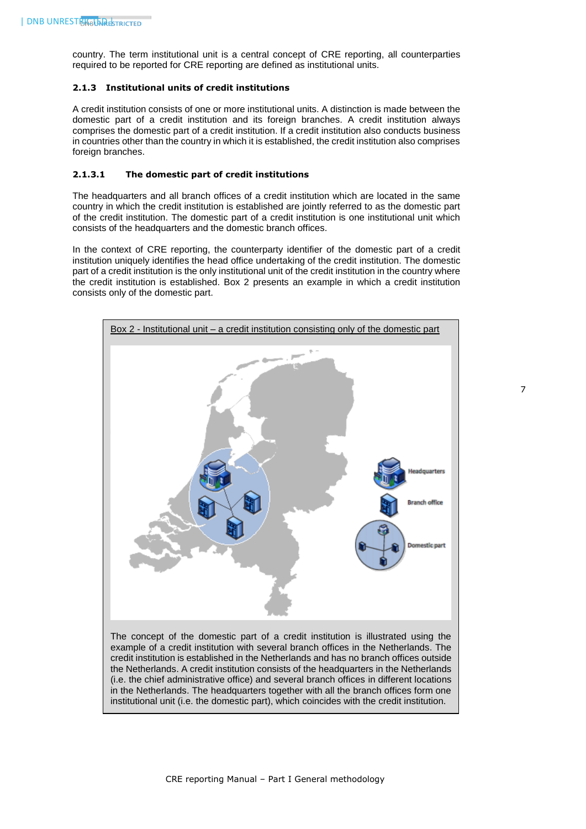country. The term institutional unit is a central concept of CRE reporting, all counterparties required to be reported for CRE reporting are defined as institutional units.

#### <span id="page-7-0"></span>**2.1.3 Institutional units of credit institutions**

A credit institution consists of one or more institutional units. A distinction is made between the domestic part of a credit institution and its foreign branches. A credit institution always comprises the domestic part of a credit institution. If a credit institution also conducts business in countries other than the country in which it is established, the credit institution also comprises foreign branches.

#### <span id="page-7-1"></span>**2.1.3.1 The domestic part of credit institutions**

The headquarters and all branch offices of a credit institution which are located in the same country in which the credit institution is established are jointly referred to as the domestic part of the credit institution. The domestic part of a credit institution is one institutional unit which consists of the headquarters and the domestic branch offices.

In the context of CRE reporting, the counterparty identifier of the domestic part of a credit institution uniquely identifies the head office undertaking of the credit institution. The domestic part of a credit institution is the only institutional unit of the credit institution in the country where the credit institution is established. Box 2 presents an example in which a credit institution consists only of the domestic part.



The concept of the domestic part of a credit institution is illustrated using the example of a credit institution with several branch offices in the Netherlands. The credit institution is established in the Netherlands and has no branch offices outside the Netherlands. A credit institution consists of the headquarters in the Netherlands (i.e. the chief administrative office) and several branch offices in different locations in the Netherlands. The headquarters together with all the branch offices form one institutional unit (i.e. the domestic part), which coincides with the credit institution.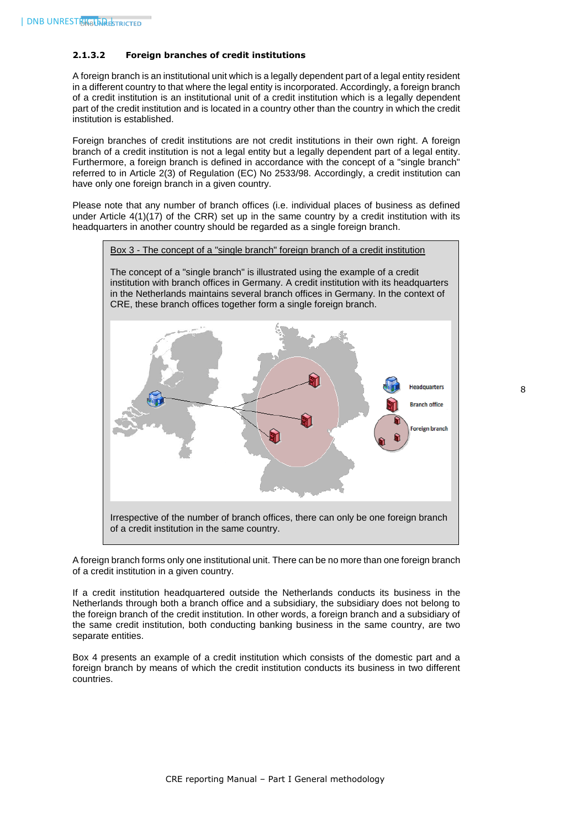# <span id="page-8-0"></span>**2.1.3.2 Foreign branches of credit institutions**

A foreign branch is an institutional unit which is a legally dependent part of a legal entity resident in a different country to that where the legal entity is incorporated. Accordingly, a foreign branch of a credit institution is an institutional unit of a credit institution which is a legally dependent part of the credit institution and is located in a country other than the country in which the credit institution is established.

Foreign branches of credit institutions are not credit institutions in their own right. A foreign branch of a credit institution is not a legal entity but a legally dependent part of a legal entity. Furthermore, a foreign branch is defined in accordance with the concept of a "single branch" referred to in Article 2(3) of Regulation (EC) No 2533/98. Accordingly, a credit institution can have only one foreign branch in a given country.

Please note that any number of branch offices (i.e. individual places of business as defined under Article 4(1)(17) of the CRR) set up in the same country by a credit institution with its headquarters in another country should be regarded as a single foreign branch.



A foreign branch forms only one institutional unit. There can be no more than one foreign branch of a credit institution in a given country.

If a credit institution headquartered outside the Netherlands conducts its business in the Netherlands through both a branch office and a subsidiary, the subsidiary does not belong to the foreign branch of the credit institution. In other words, a foreign branch and a subsidiary of the same credit institution, both conducting banking business in the same country, are two separate entities.

Box 4 presents an example of a credit institution which consists of the domestic part and a foreign branch by means of which the credit institution conducts its business in two different countries.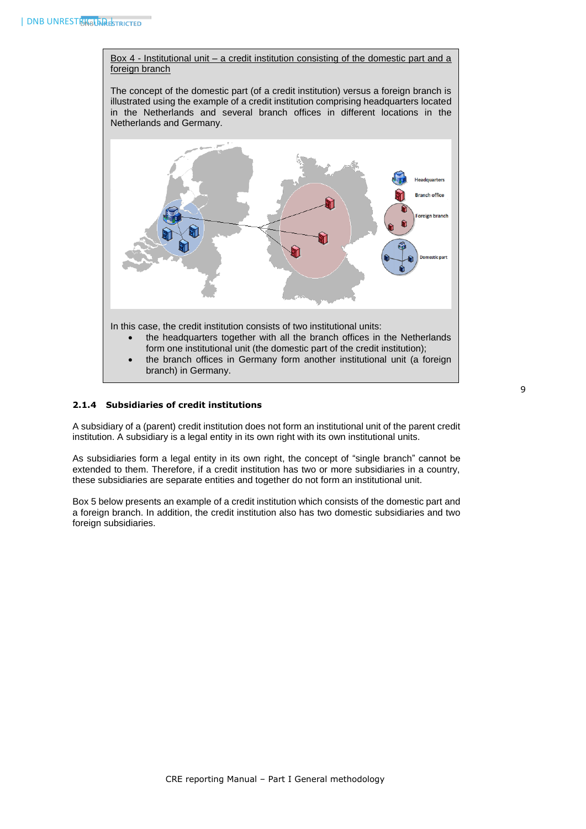Box 4 - Institutional unit – a credit institution consisting of the domestic part and a foreign branch

The concept of the domestic part (of a credit institution) versus a foreign branch is illustrated using the example of a credit institution comprising headquarters located in the Netherlands and several branch offices in different locations in the Netherlands and Germany.



# <span id="page-9-0"></span>**2.1.4 Subsidiaries of credit institutions**

A subsidiary of a (parent) credit institution does not form an institutional unit of the parent credit institution. A subsidiary is a legal entity in its own right with its own institutional units.

As subsidiaries form a legal entity in its own right, the concept of "single branch" cannot be extended to them. Therefore, if a credit institution has two or more subsidiaries in a country, these subsidiaries are separate entities and together do not form an institutional unit.

Box 5 below presents an example of a credit institution which consists of the domestic part and a foreign branch. In addition, the credit institution also has two domestic subsidiaries and two foreign subsidiaries.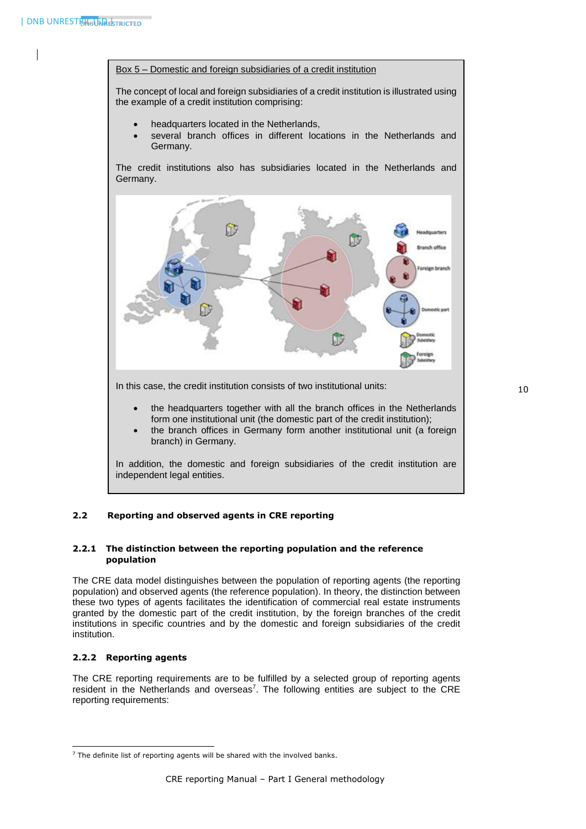

The concept of local and foreign subsidiaries of a credit institution is illustrated using the example of a credit institution comprising:

- headquarters located in the Netherlands,
- several branch offices in different locations in the Netherlands and Germany.

The credit institutions also has subsidiaries located in the Netherlands and Germany.



In this case, the credit institution consists of two institutional units:

- the headquarters together with all the branch offices in the Netherlands form one institutional unit (the domestic part of the credit institution);
- the branch offices in Germany form another institutional unit (a foreign branch) in Germany.

In addition, the domestic and foreign subsidiaries of the credit institution are independent legal entities.

# <span id="page-10-0"></span>**2.2 Reporting and observed agents in CRE reporting**

#### <span id="page-10-1"></span>**2.2.1 The distinction between the reporting population and the reference population**

The CRE data model distinguishes between the population of reporting agents (the reporting population) and observed agents (the reference population). In theory, the distinction between these two types of agents facilitates the identification of commercial real estate instruments granted by the domestic part of the credit institution, by the foreign branches of the credit institutions in specific countries and by the domestic and foreign subsidiaries of the credit institution.

# <span id="page-10-2"></span>**2.2.2 Reporting agents**

1

The CRE reporting requirements are to be fulfilled by a selected group of reporting agents resident in the Netherlands and overseas<sup>7</sup>. The following entities are subject to the CRE reporting requirements:

<sup>&</sup>lt;sup>7</sup> The definite list of reporting agents will be shared with the involved banks.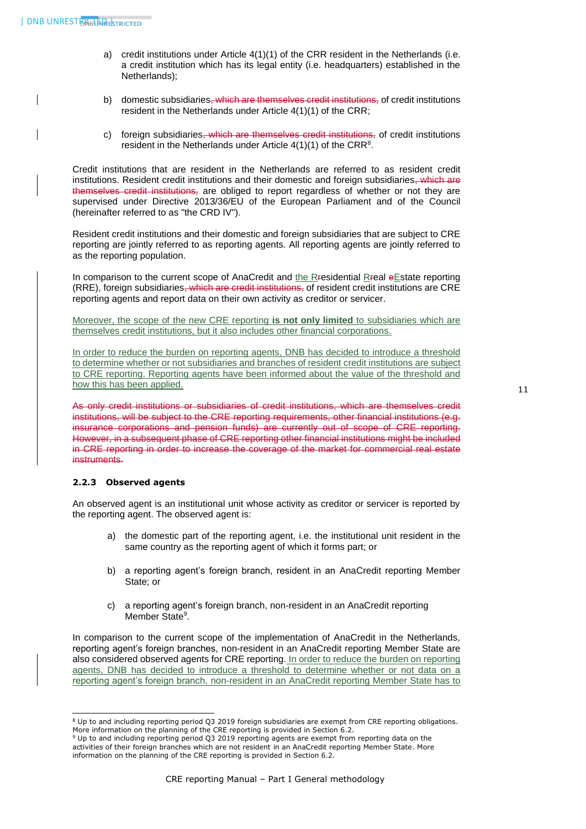- a) credit institutions under Article 4(1)(1) of the CRR resident in the Netherlands (i.e. a credit institution which has its legal entity (i.e. headquarters) established in the Netherlands);
- b) domestic subsidiaries<del>, which are themselves credit institutions,</del> of credit institutions resident in the Netherlands under Article 4(1)(1) of the CRR;
- c) foreign subsidiaries, which are themselves credit institutions, of credit institutions resident in the Netherlands under Article  $4(1)(1)$  of the CRR<sup>8</sup>.

Credit institutions that are resident in the Netherlands are referred to as resident credit institutions. Resident credit institutions and their domestic and foreign subsidiaries, which are themselves credit institutions, are obliged to report regardless of whether or not they are supervised under Directive 2013/36/EU of the European Parliament and of the Council (hereinafter referred to as "the CRD IV").

Resident credit institutions and their domestic and foreign subsidiaries that are subject to CRE reporting are jointly referred to as reporting agents. All reporting agents are jointly referred to as the reporting population.

In comparison to the current scope of AnaCredit and the Rresidential Rreal eEstate reporting (RRE), foreign subsidiaries, which are credit institutions, of resident credit institutions are CRE reporting agents and report data on their own activity as creditor or servicer.

Moreover, the scope of the new CRE reporting **is not only limited** to subsidiaries which are themselves credit institutions, but it also includes other financial corporations.

In order to reduce the burden on reporting agents, DNB has decided to introduce a threshold to determine whether or not subsidiaries and branches of resident credit institutions are subject to CRE reporting. Reporting agents have been informed about the value of the threshold and how this has been applied.

11

As only credit institutions or subsidiaries of credit institutions, which are themselves credit institutions, will be subject to the CRE reporting requirements, other financial institutions (e.g. insurance corporations and pension funds) are currently out of scope of CRE reporting. However, in a subsequent phase of CRE reporting other financial institutions might be included in CRE reporting in order to increase the coverage of the market for commercial real estate instruments.

# <span id="page-11-0"></span>**2.2.3 Observed agents**

An observed agent is an institutional unit whose activity as creditor or servicer is reported by the reporting agent. The observed agent is:

- a) the domestic part of the reporting agent, i.e. the institutional unit resident in the same country as the reporting agent of which it forms part; or
- b) a reporting agent's foreign branch, resident in an AnaCredit reporting Member State; or
- c) a reporting agent's foreign branch, non-resident in an AnaCredit reporting Member State<sup>9</sup>.

In comparison to the current scope of the implementation of AnaCredit in the Netherlands, reporting agent's foreign branches, non-resident in an AnaCredit reporting Member State are also considered observed agents for CRE reporting. In order to reduce the burden on reporting agents, DNB has decided to introduce a threshold to determine whether or not data on a reporting agent's foreign branch, non-resident in an AnaCredit reporting Member State has to

<sup>-</sup><sup>8</sup> Up to and including reporting period Q3 2019 foreign subsidiaries are exempt from CRE reporting obligations. More information on the planning of the CRE reporting is provided in Section 6.2.

<sup>9</sup> Up to and including reporting period Q3 2019 reporting agents are exempt from reporting data on the activities of their foreign branches which are not resident in an AnaCredit reporting Member State. More information on the planning of the CRE reporting is provided in Section 6.2.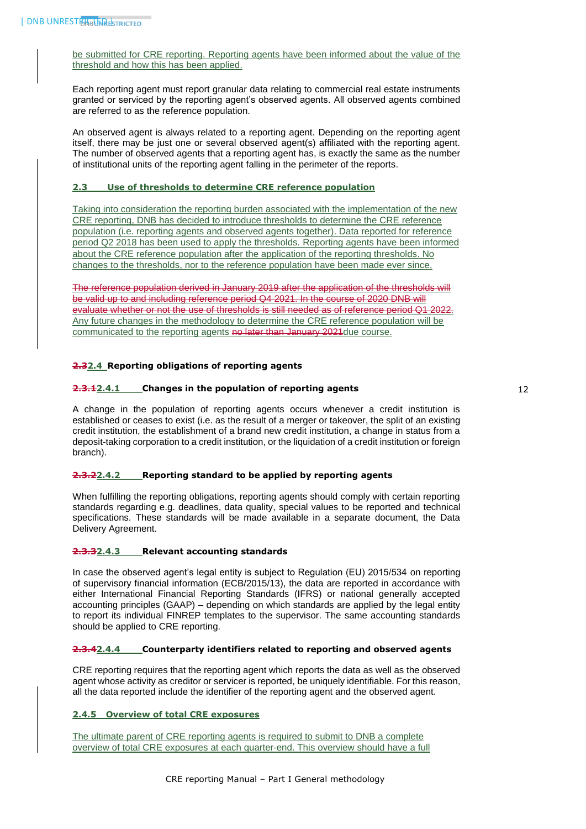be submitted for CRE reporting. Reporting agents have been informed about the value of the threshold and how this has been applied.

Each reporting agent must report granular data relating to commercial real estate instruments granted or serviced by the reporting agent's observed agents. All observed agents combined are referred to as the reference population.

An observed agent is always related to a reporting agent. Depending on the reporting agent itself, there may be just one or several observed agent(s) affiliated with the reporting agent. The number of observed agents that a reporting agent has, is exactly the same as the number of institutional units of the reporting agent falling in the perimeter of the reports.

#### <span id="page-12-0"></span>**2.3 Use of thresholds to determine CRE reference population**

Taking into consideration the reporting burden associated with the implementation of the new CRE reporting, DNB has decided to introduce thresholds to determine the CRE reference population (i.e. reporting agents and observed agents together). Data reported for reference period Q2 2018 has been used to apply the thresholds. Reporting agents have been informed about the CRE reference population after the application of the reporting thresholds. No changes to the thresholds, nor to the reference population have been made ever since,

The reference population derived in January 2019 after the application of the thres be valid up to and including reference period Q4 2021. In the course of 2020 DNB will evaluate whether or not the use of thresholds is still needed as of reference period Q1 2022. Any future changes in the methodology to determine the CRE reference population will be communicated to the reporting agents no later than January 2021 due course.

#### <span id="page-12-2"></span><span id="page-12-1"></span>**2.32.4 Reporting obligations of reporting agents**

#### **2.3.12.4.1 Changes in the population of reporting agents**

A change in the population of reporting agents occurs whenever a credit institution is established or ceases to exist (i.e. as the result of a merger or takeover, the split of an existing credit institution, the establishment of a brand new credit institution, a change in status from a deposit-taking corporation to a credit institution, or the liquidation of a credit institution or foreign branch).

#### <span id="page-12-3"></span>**2.3.22.4.2 Reporting standard to be applied by reporting agents**

When fulfilling the reporting obligations, reporting agents should comply with certain reporting standards regarding e.g. deadlines, data quality, special values to be reported and technical specifications. These standards will be made available in a separate document, the Data Delivery Agreement.

#### <span id="page-12-4"></span>**2.3.32.4.3 Relevant accounting standards**

In case the observed agent's legal entity is subject to Regulation (EU) 2015/534 on reporting of supervisory financial information (ECB/2015/13), the data are reported in accordance with either International Financial Reporting Standards (IFRS) or national generally accepted accounting principles (GAAP) – depending on which standards are applied by the legal entity to report its individual FINREP templates to the supervisor. The same accounting standards should be applied to CRE reporting.

# <span id="page-12-5"></span>**2.3.42.4.4 Counterparty identifiers related to reporting and observed agents**

CRE reporting requires that the reporting agent which reports the data as well as the observed agent whose activity as creditor or servicer is reported, be uniquely identifiable. For this reason, all the data reported include the identifier of the reporting agent and the observed agent.

# <span id="page-12-6"></span>**2.4.5 Overview of total CRE exposures**

The ultimate parent of CRE reporting agents is required to submit to DNB a complete overview of total CRE exposures at each quarter-end. This overview should have a full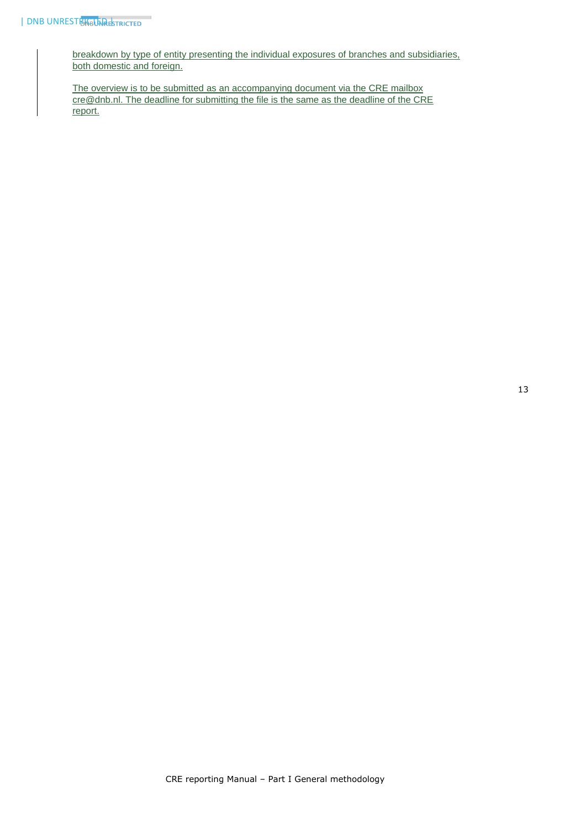breakdown by type of entity presenting the individual exposures of branches and subsidiaries, both domestic and foreign.

The overview is to be submitted as an accompanying document via the CRE mailbox [cre@dnb.nl.](mailto:cre@dnb.nl) The deadline for submitting the file is the same as the deadline of the CRE report.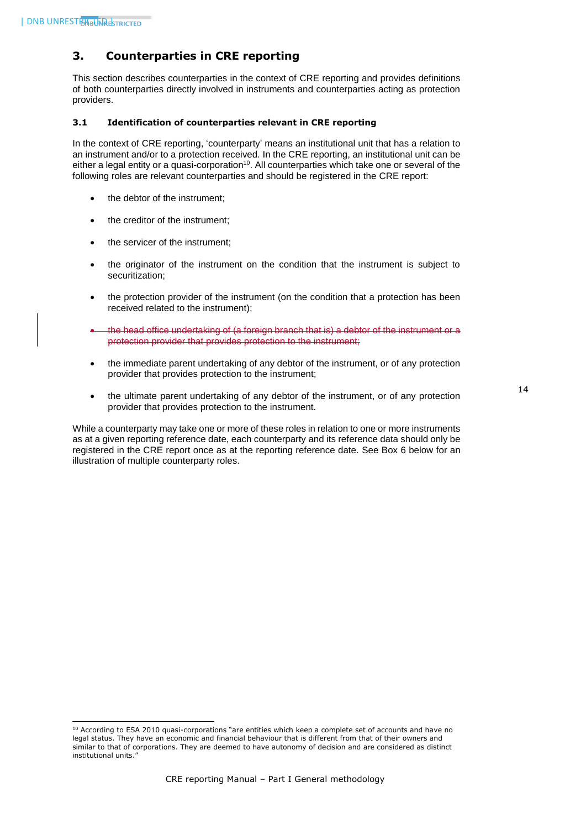1

# <span id="page-14-0"></span>**3. Counterparties in CRE reporting**

This section describes counterparties in the context of CRE reporting and provides definitions of both counterparties directly involved in instruments and counterparties acting as protection providers.

#### <span id="page-14-1"></span>**3.1 Identification of counterparties relevant in CRE reporting**

In the context of CRE reporting, 'counterparty' means an institutional unit that has a relation to an instrument and/or to a protection received. In the CRE reporting, an institutional unit can be either a legal entity or a quasi-corporation $10$ . All counterparties which take one or several of the following roles are relevant counterparties and should be registered in the CRE report:

- the debtor of the instrument;
- the creditor of the instrument;
- the servicer of the instrument;
- the originator of the instrument on the condition that the instrument is subject to securitization;
- the protection provider of the instrument (on the condition that a protection has been received related to the instrument);
- the head office undertaking of (a foreign branch that is) a debtor of the instrument or a protection provider that provides protection to the instrument;
- the immediate parent undertaking of any debtor of the instrument, or of any protection provider that provides protection to the instrument;
- the ultimate parent undertaking of any debtor of the instrument, or of any protection provider that provides protection to the instrument.

While a counterparty may take one or more of these roles in relation to one or more instruments as at a given reporting reference date, each counterparty and its reference data should only be registered in the CRE report once as at the reporting reference date. See Box 6 below for an illustration of multiple counterparty roles.

<sup>&</sup>lt;sup>10</sup> According to ESA 2010 quasi-corporations "are entities which keep a complete set of accounts and have no legal status. They have an economic and financial behaviour that is different from that of their owners and similar to that of corporations. They are deemed to have autonomy of decision and are considered as distinct institutional units."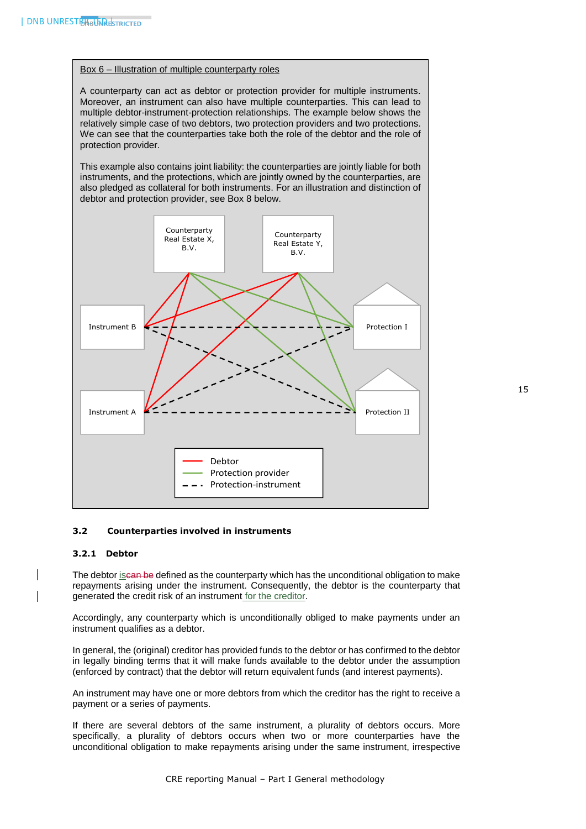#### Box 6 – Illustration of multiple counterparty roles

A counterparty can act as debtor or protection provider for multiple instruments. Moreover, an instrument can also have multiple counterparties. This can lead to multiple debtor-instrument-protection relationships. The example below shows the relatively simple case of two debtors, two protection providers and two protections. We can see that the counterparties take both the role of the debtor and the role of protection provider.

This example also contains joint liability: the counterparties are jointly liable for both instruments, and the protections, which are jointly owned by the counterparties, are also pledged as collateral for both instruments. For an illustration and distinction of debtor and protection provider, see Box 8 below.



# <span id="page-15-1"></span><span id="page-15-0"></span>**3.2 Counterparties involved in instruments**

#### **3.2.1 Debtor**

The debtor iscan be defined as the counterparty which has the unconditional obligation to make repayments arising under the instrument. Consequently, the debtor is the counterparty that generated the credit risk of an instrument for the creditor.

Accordingly, any counterparty which is unconditionally obliged to make payments under an instrument qualifies as a debtor.

In general, the (original) creditor has provided funds to the debtor or has confirmed to the debtor in legally binding terms that it will make funds available to the debtor under the assumption (enforced by contract) that the debtor will return equivalent funds (and interest payments).

An instrument may have one or more debtors from which the creditor has the right to receive a payment or a series of payments.

If there are several debtors of the same instrument, a plurality of debtors occurs. More specifically, a plurality of debtors occurs when two or more counterparties have the unconditional obligation to make repayments arising under the same instrument, irrespective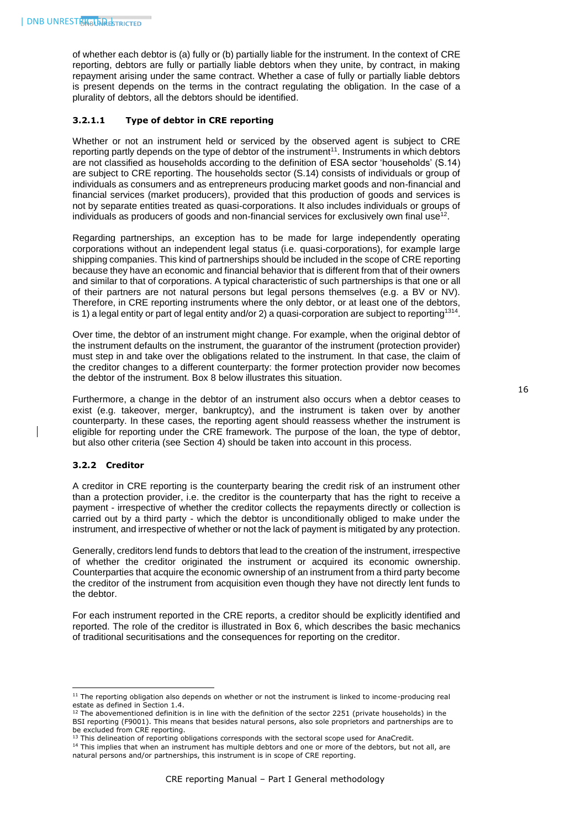of whether each debtor is (a) fully or (b) partially liable for the instrument. In the context of CRE reporting, debtors are fully or partially liable debtors when they unite, by contract, in making repayment arising under the same contract. Whether a case of fully or partially liable debtors is present depends on the terms in the contract regulating the obligation. In the case of a plurality of debtors, all the debtors should be identified.

### <span id="page-16-0"></span>**3.2.1.1 Type of debtor in CRE reporting**

Whether or not an instrument held or serviced by the observed agent is subject to CRE reporting partly depends on the type of debtor of the instrument<sup>11</sup>. Instruments in which debtors are not classified as households according to the definition of ESA sector 'households' (S.14) are subject to CRE reporting. The households sector (S.14) consists of individuals or group of individuals as consumers and as entrepreneurs producing market goods and non-financial and financial services (market producers), provided that this production of goods and services is not by separate entities treated as quasi-corporations. It also includes individuals or groups of individuals as producers of goods and non-financial services for exclusively own final use $^{\rm 12}$ .

Regarding partnerships, an exception has to be made for large independently operating corporations without an independent legal status (i.e. quasi-corporations), for example large shipping companies. This kind of partnerships should be included in the scope of CRE reporting because they have an economic and financial behavior that is different from that of their owners and similar to that of corporations. A typical characteristic of such partnerships is that one or all of their partners are not natural persons but legal persons themselves (e.g. a BV or NV). Therefore, in CRE reporting instruments where the only debtor, or at least one of the debtors, is 1) a legal entity or part of legal entity and/or 2) a quasi-corporation are subject to reporting<sup>1314</sup>.

Over time, the debtor of an instrument might change. For example, when the original debtor of the instrument defaults on the instrument, the guarantor of the instrument (protection provider) must step in and take over the obligations related to the instrument. In that case, the claim of the creditor changes to a different counterparty: the former protection provider now becomes the debtor of the instrument. Box 8 below illustrates this situation.

Furthermore, a change in the debtor of an instrument also occurs when a debtor ceases to exist (e.g. takeover, merger, bankruptcy), and the instrument is taken over by another counterparty. In these cases, the reporting agent should reassess whether the instrument is eligible for reporting under the CRE framework. The purpose of the loan, the type of debtor, but also other criteria (see Section 4) should be taken into account in this process.

#### <span id="page-16-1"></span>**3.2.2 Creditor**

-

A creditor in CRE reporting is the counterparty bearing the credit risk of an instrument other than a protection provider, i.e. the creditor is the counterparty that has the right to receive a payment - irrespective of whether the creditor collects the repayments directly or collection is carried out by a third party - which the debtor is unconditionally obliged to make under the instrument, and irrespective of whether or not the lack of payment is mitigated by any protection.

Generally, creditors lend funds to debtors that lead to the creation of the instrument, irrespective of whether the creditor originated the instrument or acquired its economic ownership. Counterparties that acquire the economic ownership of an instrument from a third party become the creditor of the instrument from acquisition even though they have not directly lent funds to the debtor.

For each instrument reported in the CRE reports, a creditor should be explicitly identified and reported. The role of the creditor is illustrated in Box 6, which describes the basic mechanics of traditional securitisations and the consequences for reporting on the creditor.

<sup>&</sup>lt;sup>11</sup> The reporting obligation also depends on whether or not the instrument is linked to income-producing real estate as defined in Section 1.4.

 $12$  The abovementioned definition is in line with the definition of the sector 2251 (private households) in the BSI reporting (F9001). This means that besides natural persons, also sole proprietors and partnerships are to be excluded from CRE reporting.

<sup>&</sup>lt;sup>13</sup> This delineation of reporting obligations corresponds with the sectoral scope used for AnaCredit.

<sup>&</sup>lt;sup>14</sup> This implies that when an instrument has multiple debtors and one or more of the debtors, but not all, are natural persons and/or partnerships, this instrument is in scope of CRE reporting.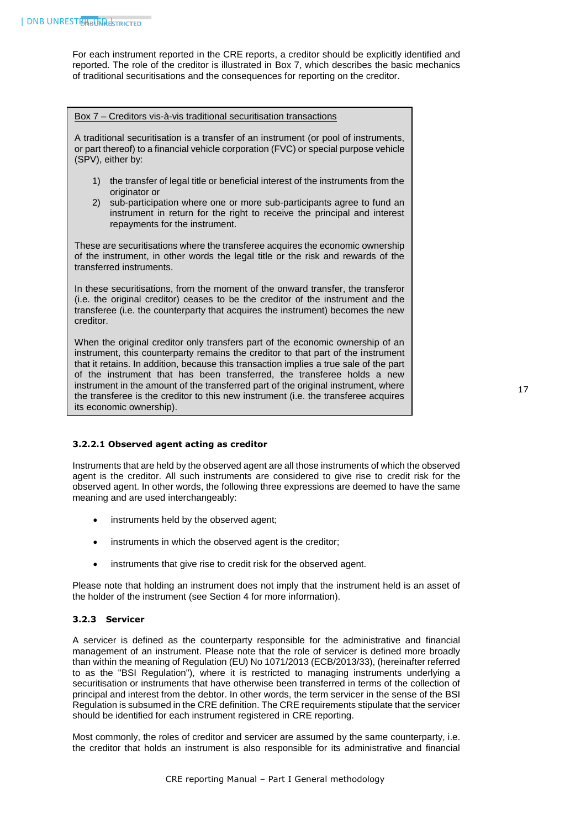For each instrument reported in the CRE reports, a creditor should be explicitly identified and reported. The role of the creditor is illustrated in Box 7, which describes the basic mechanics of traditional securitisations and the consequences for reporting on the creditor.

#### Box 7 – Creditors vis-à-vis traditional securitisation transactions

A traditional securitisation is a transfer of an instrument (or pool of instruments, or part thereof) to a financial vehicle corporation (FVC) or special purpose vehicle (SPV), either by:

- 1) the transfer of legal title or beneficial interest of the instruments from the originator or
- 2) sub-participation where one or more sub-participants agree to fund an instrument in return for the right to receive the principal and interest repayments for the instrument.

These are securitisations where the transferee acquires the economic ownership of the instrument, in other words the legal title or the risk and rewards of the transferred instruments.

In these securitisations, from the moment of the onward transfer, the transferor (i.e. the original creditor) ceases to be the creditor of the instrument and the transferee (i.e. the counterparty that acquires the instrument) becomes the new creditor.

When the original creditor only transfers part of the economic ownership of an instrument, this counterparty remains the creditor to that part of the instrument that it retains. In addition, because this transaction implies a true sale of the part of the instrument that has been transferred, the transferee holds a new instrument in the amount of the transferred part of the original instrument, where the transferee is the creditor to this new instrument (i.e. the transferee acquires its economic ownership).

# <span id="page-17-0"></span>**3.2.2.1 Observed agent acting as creditor**

Instruments that are held by the observed agent are all those instruments of which the observed agent is the creditor. All such instruments are considered to give rise to credit risk for the observed agent. In other words, the following three expressions are deemed to have the same meaning and are used interchangeably:

- instruments held by the observed agent;
- instruments in which the observed agent is the creditor;
- instruments that give rise to credit risk for the observed agent.

Please note that holding an instrument does not imply that the instrument held is an asset of the holder of the instrument (see Section 4 for more information).

# <span id="page-17-1"></span>**3.2.3 Servicer**

A servicer is defined as the counterparty responsible for the administrative and financial management of an instrument. Please note that the role of servicer is defined more broadly than within the meaning of Regulation (EU) No 1071/2013 (ECB/2013/33), (hereinafter referred to as the "BSI Regulation"), where it is restricted to managing instruments underlying a securitisation or instruments that have otherwise been transferred in terms of the collection of principal and interest from the debtor. In other words, the term servicer in the sense of the BSI Regulation is subsumed in the CRE definition. The CRE requirements stipulate that the servicer should be identified for each instrument registered in CRE reporting.

Most commonly, the roles of creditor and servicer are assumed by the same counterparty, i.e. the creditor that holds an instrument is also responsible for its administrative and financial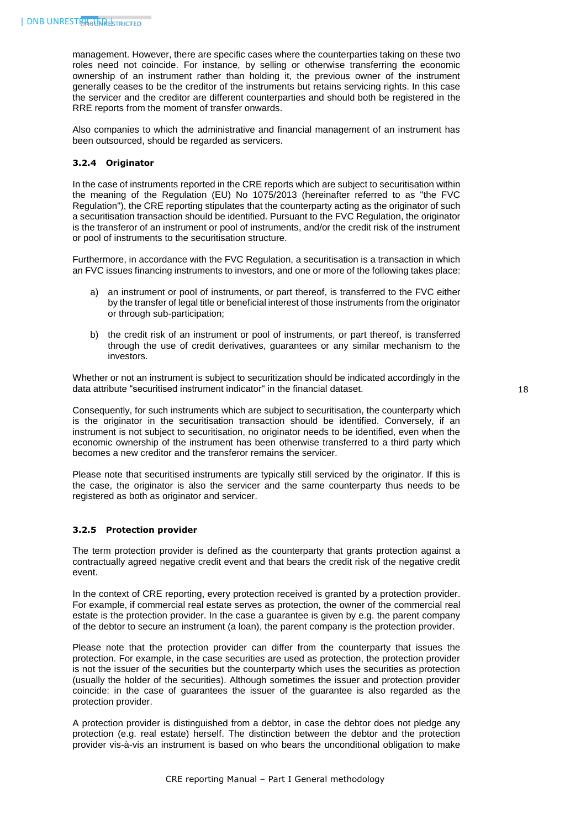management. However, there are specific cases where the counterparties taking on these two roles need not coincide. For instance, by selling or otherwise transferring the economic ownership of an instrument rather than holding it, the previous owner of the instrument generally ceases to be the creditor of the instruments but retains servicing rights. In this case the servicer and the creditor are different counterparties and should both be registered in the RRE reports from the moment of transfer onwards.

Also companies to which the administrative and financial management of an instrument has been outsourced, should be regarded as servicers.

### <span id="page-18-0"></span>**3.2.4 Originator**

In the case of instruments reported in the CRE reports which are subject to securitisation within the meaning of the Regulation (EU) No 1075/2013 (hereinafter referred to as "the FVC Regulation"), the CRE reporting stipulates that the counterparty acting as the originator of such a securitisation transaction should be identified. Pursuant to the FVC Regulation, the originator is the transferor of an instrument or pool of instruments, and/or the credit risk of the instrument or pool of instruments to the securitisation structure.

Furthermore, in accordance with the FVC Regulation, a securitisation is a transaction in which an FVC issues financing instruments to investors, and one or more of the following takes place:

- a) an instrument or pool of instruments, or part thereof, is transferred to the FVC either by the transfer of legal title or beneficial interest of those instruments from the originator or through sub-participation;
- b) the credit risk of an instrument or pool of instruments, or part thereof, is transferred through the use of credit derivatives, guarantees or any similar mechanism to the investors.

Whether or not an instrument is subject to securitization should be indicated accordingly in the data attribute "securitised instrument indicator" in the financial dataset.

Consequently, for such instruments which are subject to securitisation, the counterparty which is the originator in the securitisation transaction should be identified. Conversely, if an instrument is not subject to securitisation, no originator needs to be identified, even when the economic ownership of the instrument has been otherwise transferred to a third party which becomes a new creditor and the transferor remains the servicer.

Please note that securitised instruments are typically still serviced by the originator. If this is the case, the originator is also the servicer and the same counterparty thus needs to be registered as both as originator and servicer.

# <span id="page-18-1"></span>**3.2.5 Protection provider**

The term protection provider is defined as the counterparty that grants protection against a contractually agreed negative credit event and that bears the credit risk of the negative credit event.

In the context of CRE reporting, every protection received is granted by a protection provider. For example, if commercial real estate serves as protection, the owner of the commercial real estate is the protection provider. In the case a guarantee is given by e.g. the parent company of the debtor to secure an instrument (a loan), the parent company is the protection provider.

Please note that the protection provider can differ from the counterparty that issues the protection. For example, in the case securities are used as protection, the protection provider is not the issuer of the securities but the counterparty which uses the securities as protection (usually the holder of the securities). Although sometimes the issuer and protection provider coincide: in the case of guarantees the issuer of the guarantee is also regarded as the protection provider.

A protection provider is distinguished from a debtor, in case the debtor does not pledge any protection (e.g. real estate) herself. The distinction between the debtor and the protection provider vis-à-vis an instrument is based on who bears the unconditional obligation to make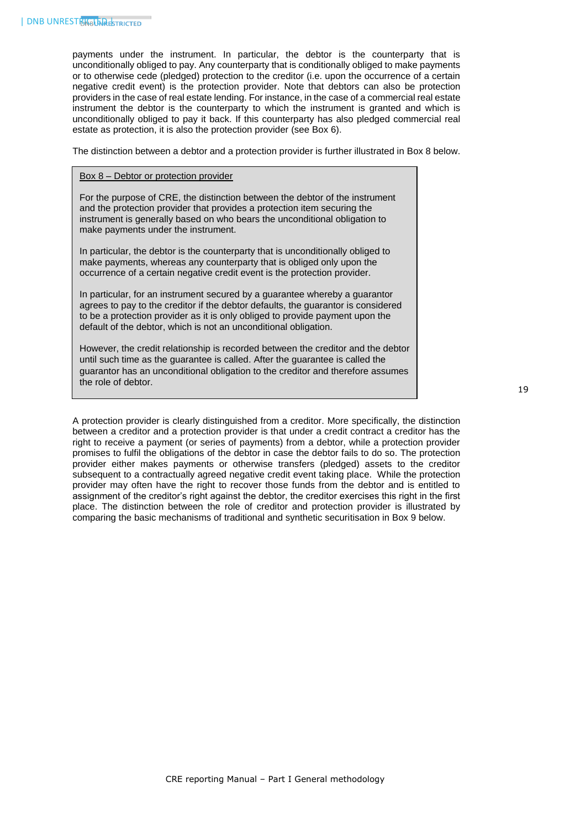payments under the instrument. In particular, the debtor is the counterparty that is unconditionally obliged to pay. Any counterparty that is conditionally obliged to make payments or to otherwise cede (pledged) protection to the creditor (i.e. upon the occurrence of a certain negative credit event) is the protection provider. Note that debtors can also be protection providers in the case of real estate lending. For instance, in the case of a commercial real estate instrument the debtor is the counterparty to which the instrument is granted and which is unconditionally obliged to pay it back. If this counterparty has also pledged commercial real estate as protection, it is also the protection provider (see Box 6).

The distinction between a debtor and a protection provider is further illustrated in Box 8 below.

#### Box 8 – Debtor or protection provider

For the purpose of CRE, the distinction between the debtor of the instrument and the protection provider that provides a protection item securing the instrument is generally based on who bears the unconditional obligation to make payments under the instrument.

In particular, the debtor is the counterparty that is unconditionally obliged to make payments, whereas any counterparty that is obliged only upon the occurrence of a certain negative credit event is the protection provider.

In particular, for an instrument secured by a guarantee whereby a guarantor agrees to pay to the creditor if the debtor defaults, the guarantor is considered to be a protection provider as it is only obliged to provide payment upon the default of the debtor, which is not an unconditional obligation.

However, the credit relationship is recorded between the creditor and the debtor until such time as the guarantee is called. After the guarantee is called the guarantor has an unconditional obligation to the creditor and therefore assumes the role of debtor.

A protection provider is clearly distinguished from a creditor. More specifically, the distinction between a creditor and a protection provider is that under a credit contract a creditor has the right to receive a payment (or series of payments) from a debtor, while a protection provider promises to fulfil the obligations of the debtor in case the debtor fails to do so. The protection provider either makes payments or otherwise transfers (pledged) assets to the creditor subsequent to a contractually agreed negative credit event taking place. While the protection provider may often have the right to recover those funds from the debtor and is entitled to assignment of the creditor's right against the debtor, the creditor exercises this right in the first place. The distinction between the role of creditor and protection provider is illustrated by comparing the basic mechanisms of traditional and synthetic securitisation in Box 9 below.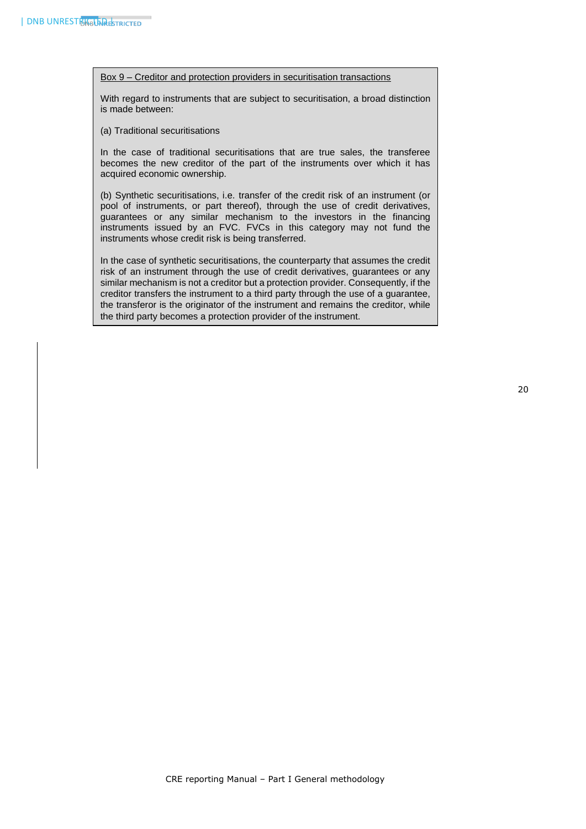#### Box 9 – Creditor and protection providers in securitisation transactions

With regard to instruments that are subject to securitisation, a broad distinction is made between:

(a) Traditional securitisations

In the case of traditional securitisations that are true sales, the transferee becomes the new creditor of the part of the instruments over which it has acquired economic ownership.

(b) Synthetic securitisations, i.e. transfer of the credit risk of an instrument (or pool of instruments, or part thereof), through the use of credit derivatives, guarantees or any similar mechanism to the investors in the financing instruments issued by an FVC. FVCs in this category may not fund the instruments whose credit risk is being transferred.

In the case of synthetic securitisations, the counterparty that assumes the credit risk of an instrument through the use of credit derivatives, guarantees or any similar mechanism is not a creditor but a protection provider. Consequently, if the creditor transfers the instrument to a third party through the use of a guarantee, the transferor is the originator of the instrument and remains the creditor, while the third party becomes a protection provider of the instrument.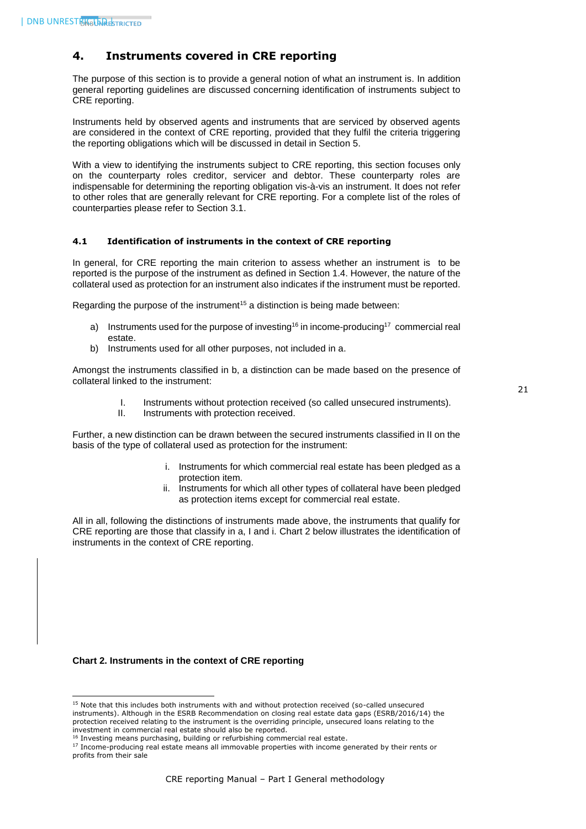# <span id="page-21-0"></span>**4. Instruments covered in CRE reporting**

The purpose of this section is to provide a general notion of what an instrument is. In addition general reporting guidelines are discussed concerning identification of instruments subject to CRE reporting.

Instruments held by observed agents and instruments that are serviced by observed agents are considered in the context of CRE reporting, provided that they fulfil the criteria triggering the reporting obligations which will be discussed in detail in Section 5.

With a view to identifying the instruments subject to CRE reporting, this section focuses only on the counterparty roles creditor, servicer and debtor. These counterparty roles are indispensable for determining the reporting obligation vis-à-vis an instrument. It does not refer to other roles that are generally relevant for CRE reporting. For a complete list of the roles of counterparties please refer to Section 3.1.

#### <span id="page-21-1"></span>**4.1 Identification of instruments in the context of CRE reporting**

In general, for CRE reporting the main criterion to assess whether an instrument is to be reported is the purpose of the instrument as defined in Section 1.4. However, the nature of the collateral used as protection for an instrument also indicates if the instrument must be reported.

Regarding the purpose of the instrument<sup>15</sup> a distinction is being made between:

- a) Instruments used for the purpose of investing<sup>16</sup> in income-producing<sup>17</sup> commercial real estate.
- b) Instruments used for all other purposes, not included in a.

Amongst the instruments classified in b, a distinction can be made based on the presence of collateral linked to the instrument:

- I. Instruments without protection received (so called unsecured instruments).
- II. Instruments with protection received.

Further, a new distinction can be drawn between the secured instruments classified in II on the basis of the type of collateral used as protection for the instrument:

- i. Instruments for which commercial real estate has been pledged as a protection item.
- ii. Instruments for which all other types of collateral have been pledged as protection items except for commercial real estate.

All in all, following the distinctions of instruments made above, the instruments that qualify for CRE reporting are those that classify in a, I and i. Chart 2 below illustrates the identification of instruments in the context of CRE reporting.

#### **Chart 2. Instruments in the context of CRE reporting**

1

<sup>&</sup>lt;sup>15</sup> Note that this includes both instruments with and without protection received (so-called unsecured instruments). Although in the ESRB Recommendation on closing real estate data gaps (ESRB/2016/14) the protection received relating to the instrument is the overriding principle, unsecured loans relating to the investment in commercial real estate should also be reported.

<sup>&</sup>lt;sup>16</sup> Investing means purchasing, building or refurbishing commercial real estate.

<sup>&</sup>lt;sup>17</sup> Income-producing real estate means all immovable properties with income generated by their rents or profits from their sale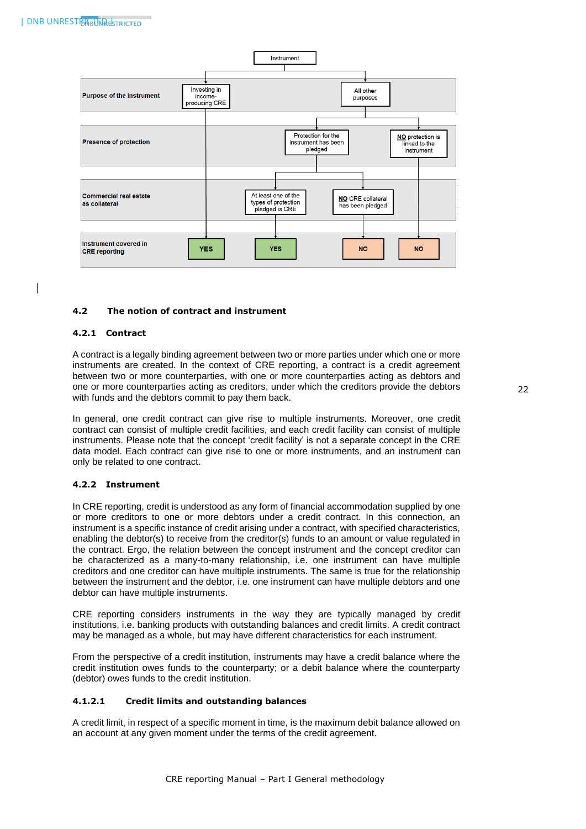

#### <span id="page-22-1"></span><span id="page-22-0"></span>**4.2 The notion of contract and instrument**

#### **4.2.1 Contract**

A contract is a legally binding agreement between two or more parties under which one or more instruments are created. In the context of CRE reporting, a contract is a credit agreement between two or more counterparties, with one or more counterparties acting as debtors and one or more counterparties acting as creditors, under which the creditors provide the debtors with funds and the debtors commit to pay them back.

In general, one credit contract can give rise to multiple instruments. Moreover, one credit contract can consist of multiple credit facilities, and each credit facility can consist of multiple instruments. Please note that the concept 'credit facility' is not a separate concept in the CRE data model. Each contract can give rise to one or more instruments, and an instrument can only be related to one contract.

#### <span id="page-22-2"></span>**4.2.2 Instrument**

In CRE reporting, credit is understood as any form of financial accommodation supplied by one or more creditors to one or more debtors under a credit contract. In this connection, an instrument is a specific instance of credit arising under a contract, with specified characteristics, enabling the debtor(s) to receive from the creditor(s) funds to an amount or value regulated in the contract. Ergo, the relation between the concept instrument and the concept creditor can be characterized as a many-to-many relationship, i.e. one instrument can have multiple creditors and one creditor can have multiple instruments. The same is true for the relationship between the instrument and the debtor, i.e. one instrument can have multiple debtors and one debtor can have multiple instruments.

CRE reporting considers instruments in the way they are typically managed by credit institutions, i.e. banking products with outstanding balances and credit limits. A credit contract may be managed as a whole, but may have different characteristics for each instrument.

From the perspective of a credit institution, instruments may have a credit balance where the credit institution owes funds to the counterparty; or a debit balance where the counterparty (debtor) owes funds to the credit institution.

#### <span id="page-22-3"></span>**4.1.2.1 Credit limits and outstanding balances**

A credit limit, in respect of a specific moment in time, is the maximum debit balance allowed on an account at any given moment under the terms of the credit agreement.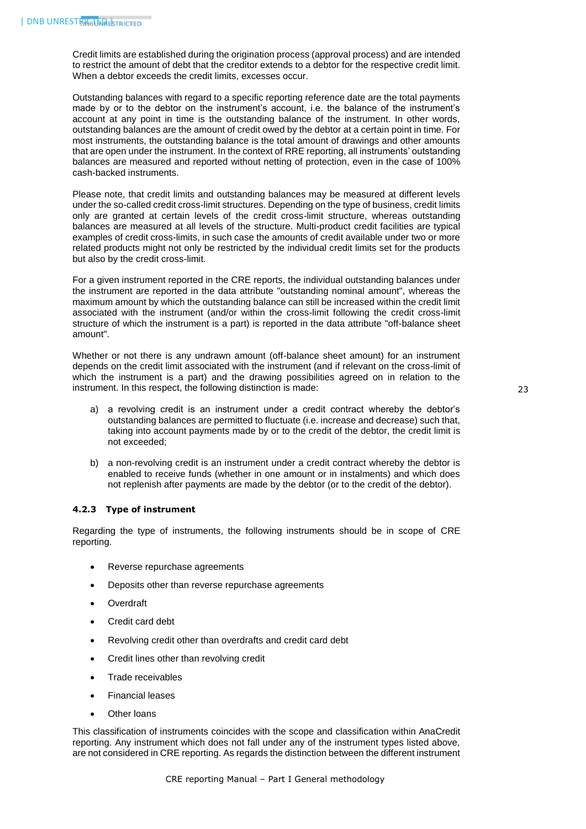Credit limits are established during the origination process (approval process) and are intended to restrict the amount of debt that the creditor extends to a debtor for the respective credit limit. When a debtor exceeds the credit limits, excesses occur.

Outstanding balances with regard to a specific reporting reference date are the total payments made by or to the debtor on the instrument's account, i.e. the balance of the instrument's account at any point in time is the outstanding balance of the instrument. In other words, outstanding balances are the amount of credit owed by the debtor at a certain point in time. For most instruments, the outstanding balance is the total amount of drawings and other amounts that are open under the instrument. In the context of RRE reporting, all instruments' outstanding balances are measured and reported without netting of protection, even in the case of 100% cash-backed instruments.

Please note, that credit limits and outstanding balances may be measured at different levels under the so-called credit cross-limit structures. Depending on the type of business, credit limits only are granted at certain levels of the credit cross-limit structure, whereas outstanding balances are measured at all levels of the structure. Multi-product credit facilities are typical examples of credit cross-limits, in such case the amounts of credit available under two or more related products might not only be restricted by the individual credit limits set for the products but also by the credit cross-limit.

For a given instrument reported in the CRE reports, the individual outstanding balances under the instrument are reported in the data attribute "outstanding nominal amount", whereas the maximum amount by which the outstanding balance can still be increased within the credit limit associated with the instrument (and/or within the cross-limit following the credit cross-limit structure of which the instrument is a part) is reported in the data attribute "off-balance sheet amount".

Whether or not there is any undrawn amount (off-balance sheet amount) for an instrument depends on the credit limit associated with the instrument (and if relevant on the cross-limit of which the instrument is a part) and the drawing possibilities agreed on in relation to the instrument. In this respect, the following distinction is made:

23

- a) a revolving credit is an instrument under a credit contract whereby the debtor's outstanding balances are permitted to fluctuate (i.e. increase and decrease) such that, taking into account payments made by or to the credit of the debtor, the credit limit is not exceeded;
- b) a non-revolving credit is an instrument under a credit contract whereby the debtor is enabled to receive funds (whether in one amount or in instalments) and which does not replenish after payments are made by the debtor (or to the credit of the debtor).

#### <span id="page-23-0"></span>**4.2.3 Type of instrument**

Regarding the type of instruments, the following instruments should be in scope of CRE reporting.

- Reverse repurchase agreements
- Deposits other than reverse repurchase agreements
- Overdraft
- Credit card debt
- Revolving credit other than overdrafts and credit card debt
- Credit lines other than revolving credit
- Trade receivables
- Financial leases
- Other loans

This classification of instruments coincides with the scope and classification within AnaCredit reporting. Any instrument which does not fall under any of the instrument types listed above, are not considered in CRE reporting. As regards the distinction between the different instrument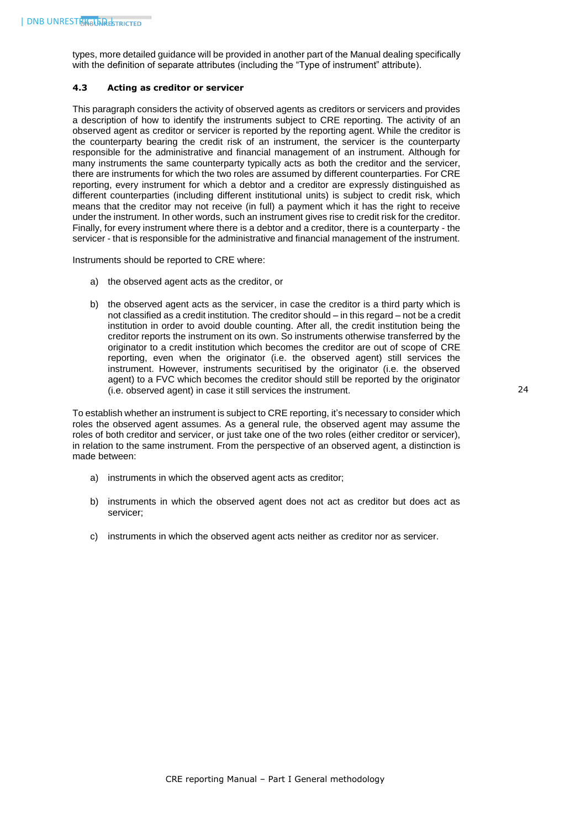types, more detailed guidance will be provided in another part of the Manual dealing specifically with the definition of separate attributes (including the "Type of instrument" attribute).

#### <span id="page-24-0"></span>**4.3 Acting as creditor or servicer**

This paragraph considers the activity of observed agents as creditors or servicers and provides a description of how to identify the instruments subject to CRE reporting. The activity of an observed agent as creditor or servicer is reported by the reporting agent. While the creditor is the counterparty bearing the credit risk of an instrument, the servicer is the counterparty responsible for the administrative and financial management of an instrument. Although for many instruments the same counterparty typically acts as both the creditor and the servicer, there are instruments for which the two roles are assumed by different counterparties. For CRE reporting, every instrument for which a debtor and a creditor are expressly distinguished as different counterparties (including different institutional units) is subject to credit risk, which means that the creditor may not receive (in full) a payment which it has the right to receive under the instrument. In other words, such an instrument gives rise to credit risk for the creditor. Finally, for every instrument where there is a debtor and a creditor, there is a counterparty - the servicer - that is responsible for the administrative and financial management of the instrument.

Instruments should be reported to CRE where:

- a) the observed agent acts as the creditor, or
- b) the observed agent acts as the servicer, in case the creditor is a third party which is not classified as a credit institution. The creditor should – in this regard – not be a credit institution in order to avoid double counting. After all, the credit institution being the creditor reports the instrument on its own. So instruments otherwise transferred by the originator to a credit institution which becomes the creditor are out of scope of CRE reporting, even when the originator (i.e. the observed agent) still services the instrument. However, instruments securitised by the originator (i.e. the observed agent) to a FVC which becomes the creditor should still be reported by the originator (i.e. observed agent) in case it still services the instrument.

To establish whether an instrument is subject to CRE reporting, it's necessary to consider which roles the observed agent assumes. As a general rule, the observed agent may assume the roles of both creditor and servicer, or just take one of the two roles (either creditor or servicer), in relation to the same instrument. From the perspective of an observed agent, a distinction is made between:

- a) instruments in which the observed agent acts as creditor;
- b) instruments in which the observed agent does not act as creditor but does act as servicer;
- c) instruments in which the observed agent acts neither as creditor nor as servicer.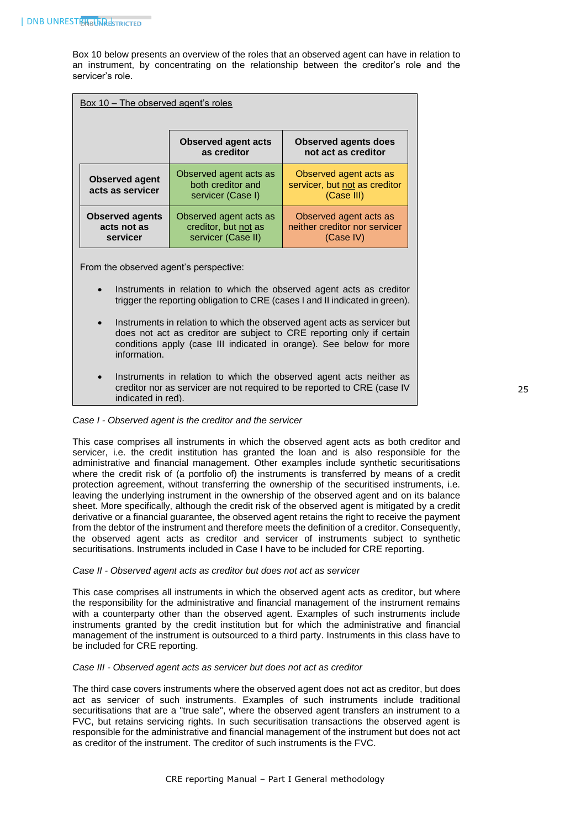Box 10 below presents an overview of the roles that an observed agent can have in relation to an instrument, by concentrating on the relationship between the creditor's role and the servicer's role.

| Box 10 – The observed agent's roles               |                                                                      |                                                                       |  |  |
|---------------------------------------------------|----------------------------------------------------------------------|-----------------------------------------------------------------------|--|--|
|                                                   | <b>Observed agent acts</b><br>as creditor                            | <b>Observed agents does</b><br>not act as creditor                    |  |  |
| <b>Observed agent</b><br>acts as servicer         | Observed agent acts as<br>both creditor and<br>servicer (Case I)     | Observed agent acts as<br>servicer, but not as creditor<br>(Case III) |  |  |
| <b>Observed agents</b><br>acts not as<br>servicer | Observed agent acts as<br>creditor, but not as<br>servicer (Case II) | Observed agent acts as<br>neither creditor nor servicer<br>(Case IV)  |  |  |

From the observed agent's perspective:

- Instruments in relation to which the observed agent acts as creditor trigger the reporting obligation to CRE (cases I and II indicated in green).
- Instruments in relation to which the observed agent acts as servicer but does not act as creditor are subject to CRE reporting only if certain conditions apply (case III indicated in orange). See below for more information.
- Instruments in relation to which the observed agent acts neither as creditor nor as servicer are not required to be reported to CRE (case IV indicated in red).

#### *Case I - Observed agent is the creditor and the servicer*

This case comprises all instruments in which the observed agent acts as both creditor and servicer, i.e. the credit institution has granted the loan and is also responsible for the administrative and financial management. Other examples include synthetic securitisations where the credit risk of (a portfolio of) the instruments is transferred by means of a credit protection agreement, without transferring the ownership of the securitised instruments, i.e. leaving the underlying instrument in the ownership of the observed agent and on its balance sheet. More specifically, although the credit risk of the observed agent is mitigated by a credit derivative or a financial guarantee, the observed agent retains the right to receive the payment from the debtor of the instrument and therefore meets the definition of a creditor. Consequently, the observed agent acts as creditor and servicer of instruments subject to synthetic securitisations. Instruments included in Case I have to be included for CRE reporting.

#### *Case II - Observed agent acts as creditor but does not act as servicer*

This case comprises all instruments in which the observed agent acts as creditor, but where the responsibility for the administrative and financial management of the instrument remains with a counterparty other than the observed agent. Examples of such instruments include instruments granted by the credit institution but for which the administrative and financial management of the instrument is outsourced to a third party. Instruments in this class have to be included for CRE reporting.

#### *Case III - Observed agent acts as servicer but does not act as creditor*

The third case covers instruments where the observed agent does not act as creditor, but does act as servicer of such instruments. Examples of such instruments include traditional securitisations that are a "true sale", where the observed agent transfers an instrument to a FVC, but retains servicing rights. In such securitisation transactions the observed agent is responsible for the administrative and financial management of the instrument but does not act as creditor of the instrument. The creditor of such instruments is the FVC.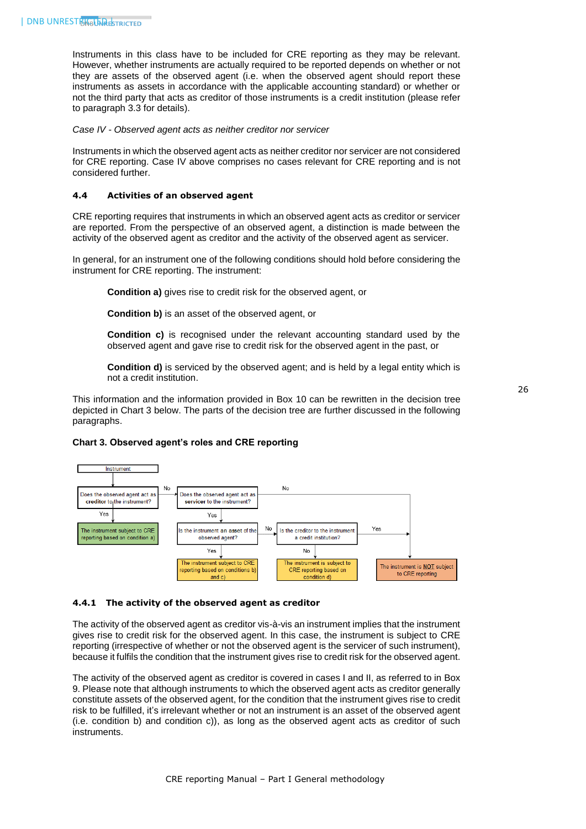Instruments in this class have to be included for CRE reporting as they may be relevant. However, whether instruments are actually required to be reported depends on whether or not they are assets of the observed agent (i.e. when the observed agent should report these instruments as assets in accordance with the applicable accounting standard) or whether or not the third party that acts as creditor of those instruments is a credit institution (please refer to paragraph 3.3 for details).

*Case IV - Observed agent acts as neither creditor nor servicer* 

Instruments in which the observed agent acts as neither creditor nor servicer are not considered for CRE reporting. Case IV above comprises no cases relevant for CRE reporting and is not considered further.

#### <span id="page-26-0"></span>**4.4 Activities of an observed agent**

CRE reporting requires that instruments in which an observed agent acts as creditor or servicer are reported. From the perspective of an observed agent, a distinction is made between the activity of the observed agent as creditor and the activity of the observed agent as servicer.

In general, for an instrument one of the following conditions should hold before considering the instrument for CRE reporting. The instrument:

**Condition a)** gives rise to credit risk for the observed agent, or

**Condition b)** is an asset of the observed agent, or

**Condition c)** is recognised under the relevant accounting standard used by the observed agent and gave rise to credit risk for the observed agent in the past, or

**Condition d)** is serviced by the observed agent; and is held by a legal entity which is not a credit institution.

This information and the information provided in Box 10 can be rewritten in the decision tree depicted in Chart 3 below. The parts of the decision tree are further discussed in the following paragraphs.

#### **Chart 3. Observed agent's roles and CRE reporting**



#### <span id="page-26-1"></span>**4.4.1 The activity of the observed agent as creditor**

The activity of the observed agent as creditor vis-à-vis an instrument implies that the instrument gives rise to credit risk for the observed agent. In this case, the instrument is subject to CRE reporting (irrespective of whether or not the observed agent is the servicer of such instrument), because it fulfils the condition that the instrument gives rise to credit risk for the observed agent.

The activity of the observed agent as creditor is covered in cases I and II, as referred to in Box 9. Please note that although instruments to which the observed agent acts as creditor generally constitute assets of the observed agent, for the condition that the instrument gives rise to credit risk to be fulfilled, it's irrelevant whether or not an instrument is an asset of the observed agent (i.e. condition b) and condition c)), as long as the observed agent acts as creditor of such instruments.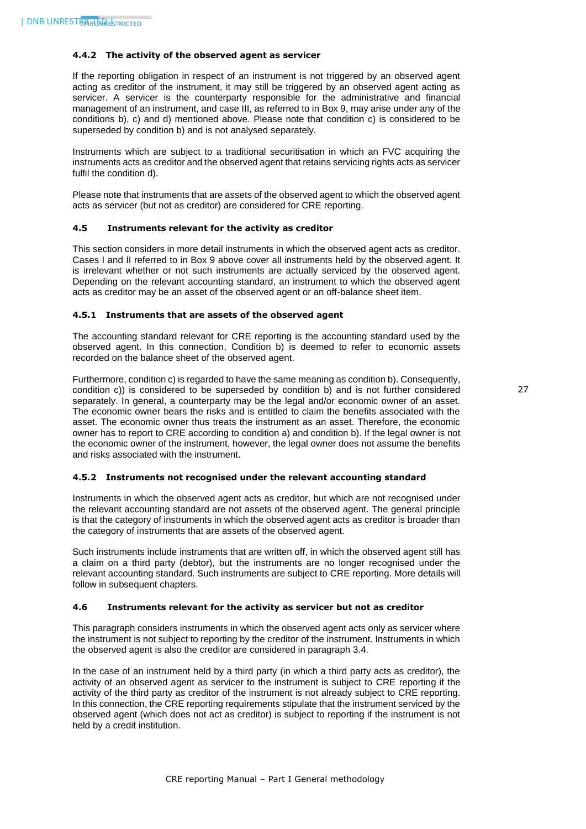#### <span id="page-27-0"></span>**4.4.2 The activity of the observed agent as servicer**

If the reporting obligation in respect of an instrument is not triggered by an observed agent acting as creditor of the instrument, it may still be triggered by an observed agent acting as servicer. A servicer is the counterparty responsible for the administrative and financial management of an instrument, and case III, as referred to in Box 9, may arise under any of the conditions b), c) and d) mentioned above. Please note that condition c) is considered to be superseded by condition b) and is not analysed separately.

Instruments which are subject to a traditional securitisation in which an FVC acquiring the instruments acts as creditor and the observed agent that retains servicing rights acts as servicer fulfil the condition d).

Please note that instruments that are assets of the observed agent to which the observed agent acts as servicer (but not as creditor) are considered for CRE reporting.

#### <span id="page-27-1"></span>**4.5 Instruments relevant for the activity as creditor**

This section considers in more detail instruments in which the observed agent acts as creditor. Cases I and II referred to in Box 9 above cover all instruments held by the observed agent. It is irrelevant whether or not such instruments are actually serviced by the observed agent. Depending on the relevant accounting standard, an instrument to which the observed agent acts as creditor may be an asset of the observed agent or an off-balance sheet item.

#### <span id="page-27-2"></span>**4.5.1 Instruments that are assets of the observed agent**

The accounting standard relevant for CRE reporting is the accounting standard used by the observed agent. In this connection, Condition b) is deemed to refer to economic assets recorded on the balance sheet of the observed agent.

Furthermore, condition c) is regarded to have the same meaning as condition b). Consequently, condition c)) is considered to be superseded by condition b) and is not further considered separately. In general, a counterparty may be the legal and/or economic owner of an asset. The economic owner bears the risks and is entitled to claim the benefits associated with the asset. The economic owner thus treats the instrument as an asset. Therefore, the economic owner has to report to CRE according to condition a) and condition b). If the legal owner is not the economic owner of the instrument, however, the legal owner does not assume the benefits and risks associated with the instrument.

#### <span id="page-27-3"></span>**4.5.2 Instruments not recognised under the relevant accounting standard**

Instruments in which the observed agent acts as creditor, but which are not recognised under the relevant accounting standard are not assets of the observed agent. The general principle is that the category of instruments in which the observed agent acts as creditor is broader than the category of instruments that are assets of the observed agent.

Such instruments include instruments that are written off, in which the observed agent still has a claim on a third party (debtor), but the instruments are no longer recognised under the relevant accounting standard. Such instruments are subject to CRE reporting. More details will follow in subsequent chapters.

#### <span id="page-27-4"></span>**4.6 Instruments relevant for the activity as servicer but not as creditor**

This paragraph considers instruments in which the observed agent acts only as servicer where the instrument is not subject to reporting by the creditor of the instrument. Instruments in which the observed agent is also the creditor are considered in paragraph 3.4.

In the case of an instrument held by a third party (in which a third party acts as creditor), the activity of an observed agent as servicer to the instrument is subject to CRE reporting if the activity of the third party as creditor of the instrument is not already subject to CRE reporting. In this connection, the CRE reporting requirements stipulate that the instrument serviced by the observed agent (which does not act as creditor) is subject to reporting if the instrument is not held by a credit institution.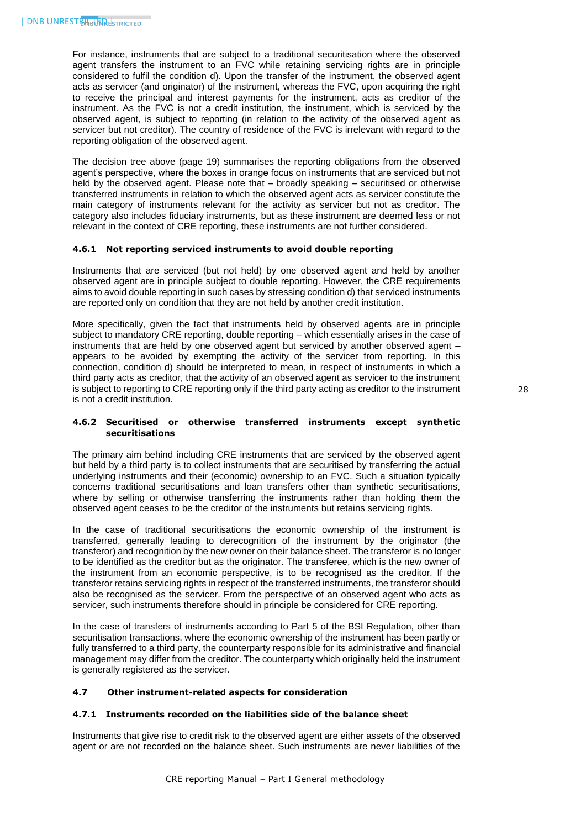For instance, instruments that are subject to a traditional securitisation where the observed agent transfers the instrument to an FVC while retaining servicing rights are in principle considered to fulfil the condition d). Upon the transfer of the instrument, the observed agent acts as servicer (and originator) of the instrument, whereas the FVC, upon acquiring the right to receive the principal and interest payments for the instrument, acts as creditor of the instrument. As the FVC is not a credit institution, the instrument, which is serviced by the observed agent, is subject to reporting (in relation to the activity of the observed agent as servicer but not creditor). The country of residence of the FVC is irrelevant with regard to the reporting obligation of the observed agent.

The decision tree above (page 19) summarises the reporting obligations from the observed agent's perspective, where the boxes in orange focus on instruments that are serviced but not held by the observed agent. Please note that – broadly speaking – securitised or otherwise transferred instruments in relation to which the observed agent acts as servicer constitute the main category of instruments relevant for the activity as servicer but not as creditor. The category also includes fiduciary instruments, but as these instrument are deemed less or not relevant in the context of CRE reporting, these instruments are not further considered.

#### <span id="page-28-0"></span>**4.6.1 Not reporting serviced instruments to avoid double reporting**

Instruments that are serviced (but not held) by one observed agent and held by another observed agent are in principle subject to double reporting. However, the CRE requirements aims to avoid double reporting in such cases by stressing condition d) that serviced instruments are reported only on condition that they are not held by another credit institution.

More specifically, given the fact that instruments held by observed agents are in principle subject to mandatory CRE reporting, double reporting – which essentially arises in the case of instruments that are held by one observed agent but serviced by another observed agent – appears to be avoided by exempting the activity of the servicer from reporting. In this connection, condition d) should be interpreted to mean, in respect of instruments in which a third party acts as creditor, that the activity of an observed agent as servicer to the instrument is subject to reporting to CRE reporting only if the third party acting as creditor to the instrument is not a credit institution.

#### <span id="page-28-1"></span>**4.6.2 Securitised or otherwise transferred instruments except synthetic securitisations**

The primary aim behind including CRE instruments that are serviced by the observed agent but held by a third party is to collect instruments that are securitised by transferring the actual underlying instruments and their (economic) ownership to an FVC. Such a situation typically concerns traditional securitisations and loan transfers other than synthetic securitisations, where by selling or otherwise transferring the instruments rather than holding them the observed agent ceases to be the creditor of the instruments but retains servicing rights.

In the case of traditional securitisations the economic ownership of the instrument is transferred, generally leading to derecognition of the instrument by the originator (the transferor) and recognition by the new owner on their balance sheet. The transferor is no longer to be identified as the creditor but as the originator. The transferee, which is the new owner of the instrument from an economic perspective, is to be recognised as the creditor. If the transferor retains servicing rights in respect of the transferred instruments, the transferor should also be recognised as the servicer. From the perspective of an observed agent who acts as servicer, such instruments therefore should in principle be considered for CRE reporting.

In the case of transfers of instruments according to Part 5 of the BSI Regulation, other than securitisation transactions, where the economic ownership of the instrument has been partly or fully transferred to a third party, the counterparty responsible for its administrative and financial management may differ from the creditor. The counterparty which originally held the instrument is generally registered as the servicer.

#### <span id="page-28-3"></span><span id="page-28-2"></span>**4.7 Other instrument-related aspects for consideration**

# **4.7.1 Instruments recorded on the liabilities side of the balance sheet**

Instruments that give rise to credit risk to the observed agent are either assets of the observed agent or are not recorded on the balance sheet. Such instruments are never liabilities of the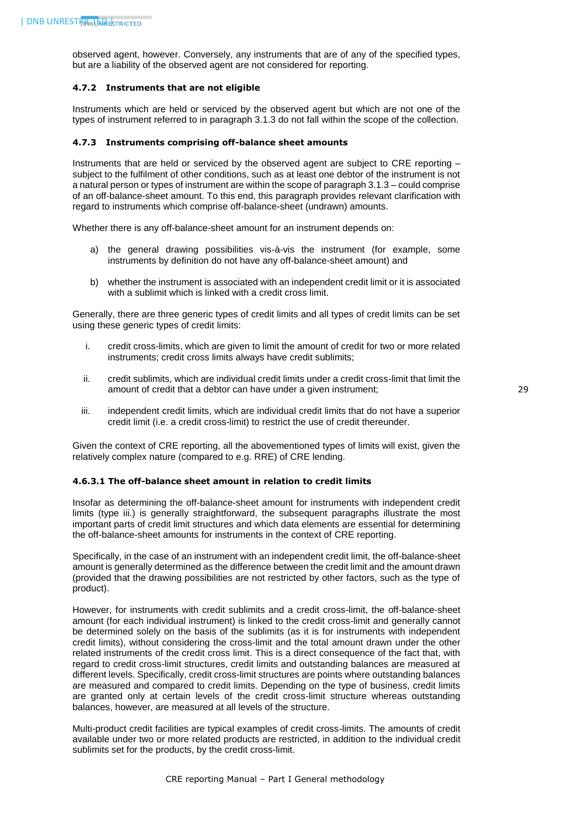observed agent, however. Conversely, any instruments that are of any of the specified types, but are a liability of the observed agent are not considered for reporting.

#### <span id="page-29-0"></span>**4.7.2 Instruments that are not eligible**

Instruments which are held or serviced by the observed agent but which are not one of the types of instrument referred to in paragraph 3.1.3 do not fall within the scope of the collection.

#### <span id="page-29-1"></span>**4.7.3 Instruments comprising off-balance sheet amounts**

Instruments that are held or serviced by the observed agent are subject to CRE reporting – subject to the fulfilment of other conditions, such as at least one debtor of the instrument is not a natural person or types of instrument are within the scope of paragraph 3.1.3 – could comprise of an off-balance-sheet amount. To this end, this paragraph provides relevant clarification with regard to instruments which comprise off-balance-sheet (undrawn) amounts.

Whether there is any off-balance-sheet amount for an instrument depends on:

- a) the general drawing possibilities vis-à-vis the instrument (for example, some instruments by definition do not have any off-balance-sheet amount) and
- b) whether the instrument is associated with an independent credit limit or it is associated with a sublimit which is linked with a credit cross limit.

Generally, there are three generic types of credit limits and all types of credit limits can be set using these generic types of credit limits:

- i. credit cross-limits, which are given to limit the amount of credit for two or more related instruments; credit cross limits always have credit sublimits;
- ii. credit sublimits, which are individual credit limits under a credit cross-limit that limit the amount of credit that a debtor can have under a given instrument;
- iii. independent credit limits, which are individual credit limits that do not have a superior credit limit (i.e. a credit cross-limit) to restrict the use of credit thereunder.

Given the context of CRE reporting, all the abovementioned types of limits will exist, given the relatively complex nature (compared to e.g. RRE) of CRE lending.

#### <span id="page-29-2"></span>**4.6.3.1 The off-balance sheet amount in relation to credit limits**

Insofar as determining the off-balance-sheet amount for instruments with independent credit limits (type iii.) is generally straightforward, the subsequent paragraphs illustrate the most important parts of credit limit structures and which data elements are essential for determining the off-balance-sheet amounts for instruments in the context of CRE reporting.

Specifically, in the case of an instrument with an independent credit limit, the off-balance-sheet amount is generally determined as the difference between the credit limit and the amount drawn (provided that the drawing possibilities are not restricted by other factors, such as the type of product).

However, for instruments with credit sublimits and a credit cross-limit, the off-balance-sheet amount (for each individual instrument) is linked to the credit cross-limit and generally cannot be determined solely on the basis of the sublimits (as it is for instruments with independent credit limits), without considering the cross-limit and the total amount drawn under the other related instruments of the credit cross limit. This is a direct consequence of the fact that, with regard to credit cross-limit structures, credit limits and outstanding balances are measured at different levels. Specifically, credit cross-limit structures are points where outstanding balances are measured and compared to credit limits. Depending on the type of business, credit limits are granted only at certain levels of the credit cross-limit structure whereas outstanding balances, however, are measured at all levels of the structure.

Multi-product credit facilities are typical examples of credit cross-limits. The amounts of credit available under two or more related products are restricted, in addition to the individual credit sublimits set for the products, by the credit cross-limit.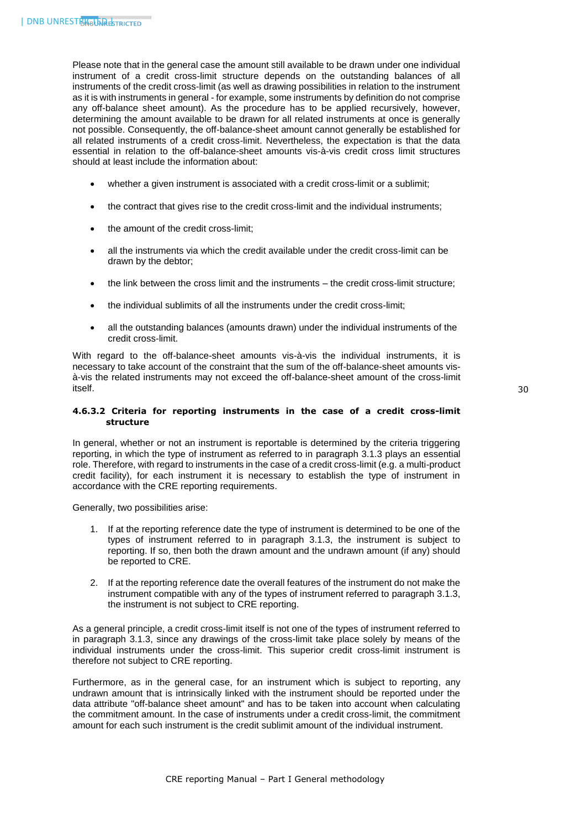Please note that in the general case the amount still available to be drawn under one individual instrument of a credit cross-limit structure depends on the outstanding balances of all instruments of the credit cross-limit (as well as drawing possibilities in relation to the instrument as it is with instruments in general - for example, some instruments by definition do not comprise any off-balance sheet amount). As the procedure has to be applied recursively, however, determining the amount available to be drawn for all related instruments at once is generally not possible. Consequently, the off-balance-sheet amount cannot generally be established for all related instruments of a credit cross-limit. Nevertheless, the expectation is that the data essential in relation to the off-balance-sheet amounts vis-à-vis credit cross limit structures should at least include the information about:

- whether a given instrument is associated with a credit cross-limit or a sublimit;
- the contract that gives rise to the credit cross-limit and the individual instruments;
- the amount of the credit cross-limit;
- all the instruments via which the credit available under the credit cross-limit can be drawn by the debtor;
- the link between the cross limit and the instruments the credit cross-limit structure;
- the individual sublimits of all the instruments under the credit cross-limit;
- all the outstanding balances (amounts drawn) under the individual instruments of the credit cross-limit.

With regard to the off-balance-sheet amounts vis-à-vis the individual instruments, it is necessary to take account of the constraint that the sum of the off-balance-sheet amounts visà-vis the related instruments may not exceed the off-balance-sheet amount of the cross-limit itself.

# <span id="page-30-0"></span>**4.6.3.2 Criteria for reporting instruments in the case of a credit cross-limit structure**

In general, whether or not an instrument is reportable is determined by the criteria triggering reporting, in which the type of instrument as referred to in paragraph 3.1.3 plays an essential role. Therefore, with regard to instruments in the case of a credit cross-limit (e.g. a multi-product credit facility), for each instrument it is necessary to establish the type of instrument in accordance with the CRE reporting requirements.

Generally, two possibilities arise:

- 1. If at the reporting reference date the type of instrument is determined to be one of the types of instrument referred to in paragraph 3.1.3, the instrument is subject to reporting. If so, then both the drawn amount and the undrawn amount (if any) should be reported to CRE.
- 2. If at the reporting reference date the overall features of the instrument do not make the instrument compatible with any of the types of instrument referred to paragraph 3.1.3, the instrument is not subject to CRE reporting.

As a general principle, a credit cross-limit itself is not one of the types of instrument referred to in paragraph 3.1.3, since any drawings of the cross-limit take place solely by means of the individual instruments under the cross-limit. This superior credit cross-limit instrument is therefore not subject to CRE reporting.

Furthermore, as in the general case, for an instrument which is subject to reporting, any undrawn amount that is intrinsically linked with the instrument should be reported under the data attribute "off-balance sheet amount" and has to be taken into account when calculating the commitment amount. In the case of instruments under a credit cross-limit, the commitment amount for each such instrument is the credit sublimit amount of the individual instrument.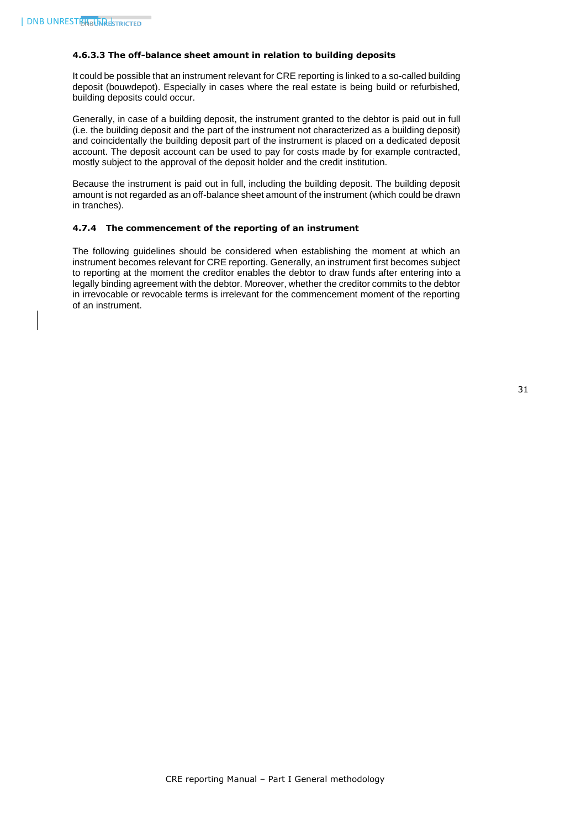#### <span id="page-31-0"></span>**4.6.3.3 The off-balance sheet amount in relation to building deposits**

It could be possible that an instrument relevant for CRE reporting is linked to a so-called building deposit (bouwdepot). Especially in cases where the real estate is being build or refurbished, building deposits could occur.

Generally, in case of a building deposit, the instrument granted to the debtor is paid out in full (i.e. the building deposit and the part of the instrument not characterized as a building deposit) and coincidentally the building deposit part of the instrument is placed on a dedicated deposit account. The deposit account can be used to pay for costs made by for example contracted, mostly subject to the approval of the deposit holder and the credit institution.

Because the instrument is paid out in full, including the building deposit. The building deposit amount is not regarded as an off-balance sheet amount of the instrument (which could be drawn in tranches).

#### <span id="page-31-1"></span>**4.7.4 The commencement of the reporting of an instrument**

The following guidelines should be considered when establishing the moment at which an instrument becomes relevant for CRE reporting. Generally, an instrument first becomes subject to reporting at the moment the creditor enables the debtor to draw funds after entering into a legally binding agreement with the debtor. Moreover, whether the creditor commits to the debtor in irrevocable or revocable terms is irrelevant for the commencement moment of the reporting of an instrument.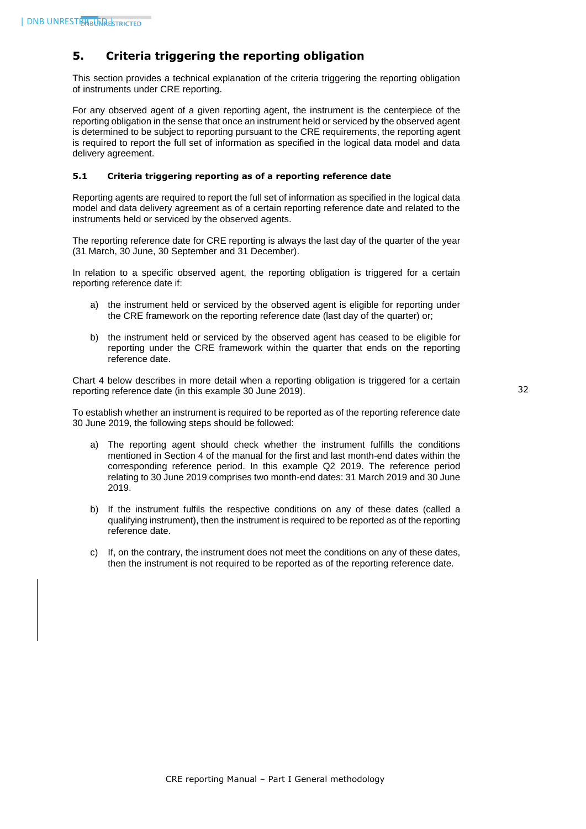# <span id="page-32-0"></span>**5. Criteria triggering the reporting obligation**

This section provides a technical explanation of the criteria triggering the reporting obligation of instruments under CRE reporting.

For any observed agent of a given reporting agent, the instrument is the centerpiece of the reporting obligation in the sense that once an instrument held or serviced by the observed agent is determined to be subject to reporting pursuant to the CRE requirements, the reporting agent is required to report the full set of information as specified in the logical data model and data delivery agreement.

#### <span id="page-32-1"></span>**5.1 Criteria triggering reporting as of a reporting reference date**

Reporting agents are required to report the full set of information as specified in the logical data model and data delivery agreement as of a certain reporting reference date and related to the instruments held or serviced by the observed agents.

The reporting reference date for CRE reporting is always the last day of the quarter of the year (31 March, 30 June, 30 September and 31 December).

In relation to a specific observed agent, the reporting obligation is triggered for a certain reporting reference date if:

- a) the instrument held or serviced by the observed agent is eligible for reporting under the CRE framework on the reporting reference date (last day of the quarter) or;
- b) the instrument held or serviced by the observed agent has ceased to be eligible for reporting under the CRE framework within the quarter that ends on the reporting reference date.

Chart 4 below describes in more detail when a reporting obligation is triggered for a certain reporting reference date (in this example 30 June 2019).

To establish whether an instrument is required to be reported as of the reporting reference date 30 June 2019, the following steps should be followed:

- a) The reporting agent should check whether the instrument fulfills the conditions mentioned in Section 4 of the manual for the first and last month-end dates within the corresponding reference period. In this example Q2 2019. The reference period relating to 30 June 2019 comprises two month-end dates: 31 March 2019 and 30 June 2019.
- b) If the instrument fulfils the respective conditions on any of these dates (called a qualifying instrument), then the instrument is required to be reported as of the reporting reference date.
- c) If, on the contrary, the instrument does not meet the conditions on any of these dates, then the instrument is not required to be reported as of the reporting reference date.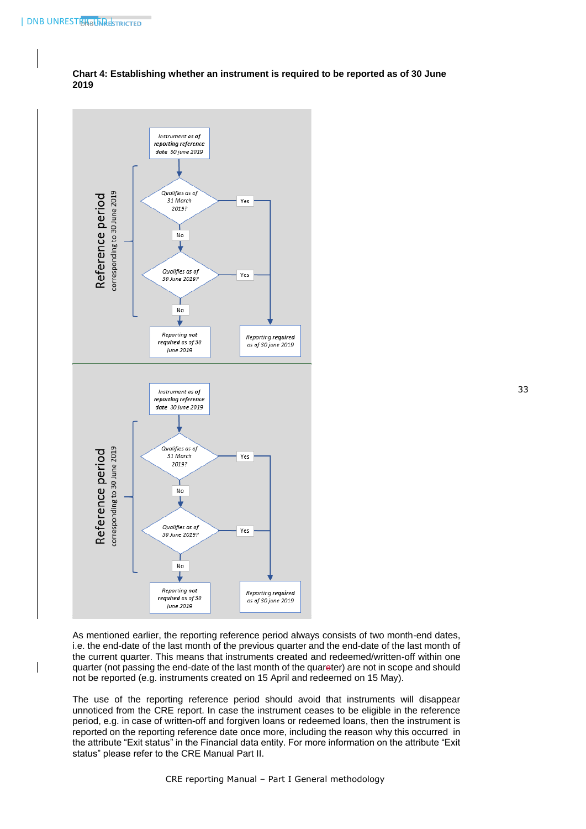

**Chart 4: Establishing whether an instrument is required to be reported as of 30 June 2019**

As mentioned earlier, the reporting reference period always consists of two month-end dates, i.e. the end-date of the last month of the previous quarter and the end-date of the last month of the current quarter. This means that instruments created and redeemed/written-off within one quarter (not passing the end-date of the last month of the quareter) are not in scope and should not be reported (e.g. instruments created on 15 April and redeemed on 15 May).

The use of the reporting reference period should avoid that instruments will disappear unnoticed from the CRE report. In case the instrument ceases to be eligible in the reference period, e.g. in case of written-off and forgiven loans or redeemed loans, then the instrument is reported on the reporting reference date once more, including the reason why this occurred in the attribute "Exit status" in the Financial data entity. For more information on the attribute "Exit status" please refer to the CRE Manual Part II.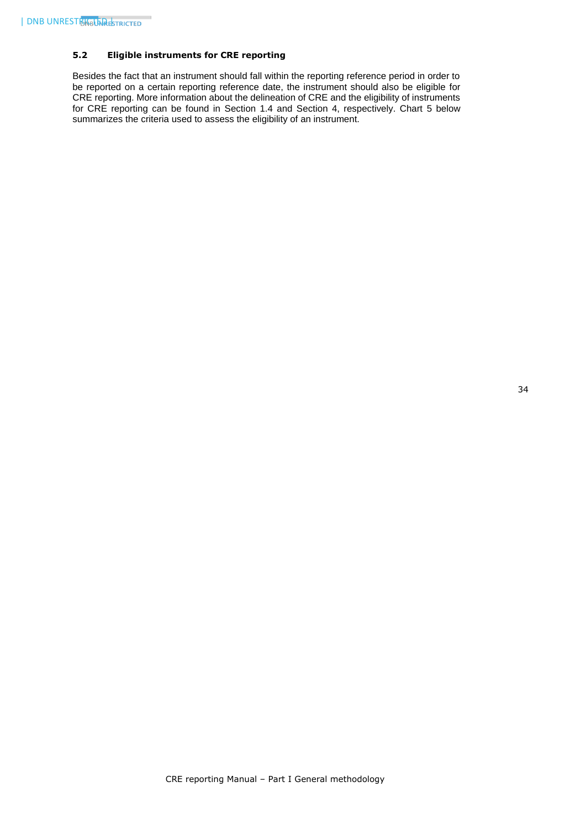# <span id="page-34-0"></span>**5.2 Eligible instruments for CRE reporting**

Besides the fact that an instrument should fall within the reporting reference period in order to be reported on a certain reporting reference date, the instrument should also be eligible for CRE reporting. More information about the delineation of CRE and the eligibility of instruments for CRE reporting can be found in Section 1.4 and Section 4, respectively. Chart 5 below summarizes the criteria used to assess the eligibility of an instrument.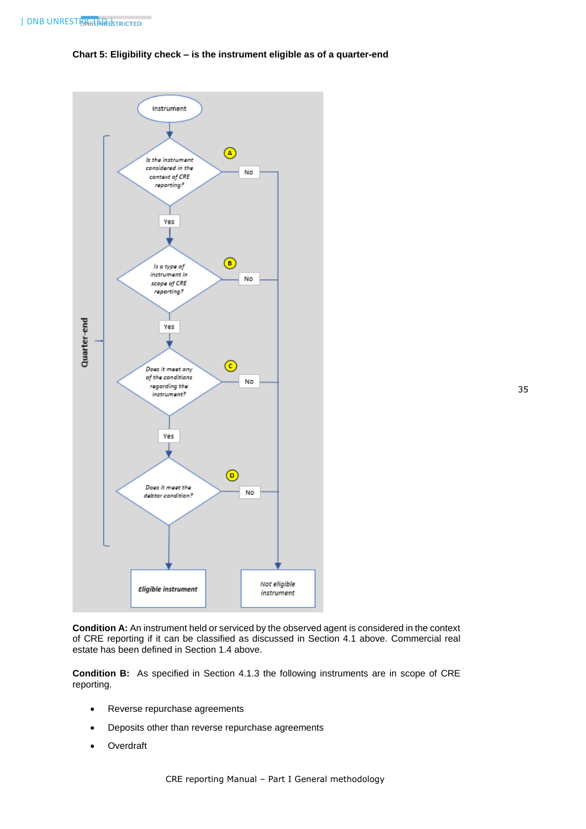#### **Chart 5: Eligibility check – is the instrument eligible as of a quarter-end**



**Condition A:** An instrument held or serviced by the observed agent is considered in the context of CRE reporting if it can be classified as discussed in Section 4.1 above. Commercial real estate has been defined in Section 1.4 above.

**Condition B:** As specified in Section 4.1.3 the following instruments are in scope of CRE reporting.

- Reverse repurchase agreements
- Deposits other than reverse repurchase agreements
- Overdraft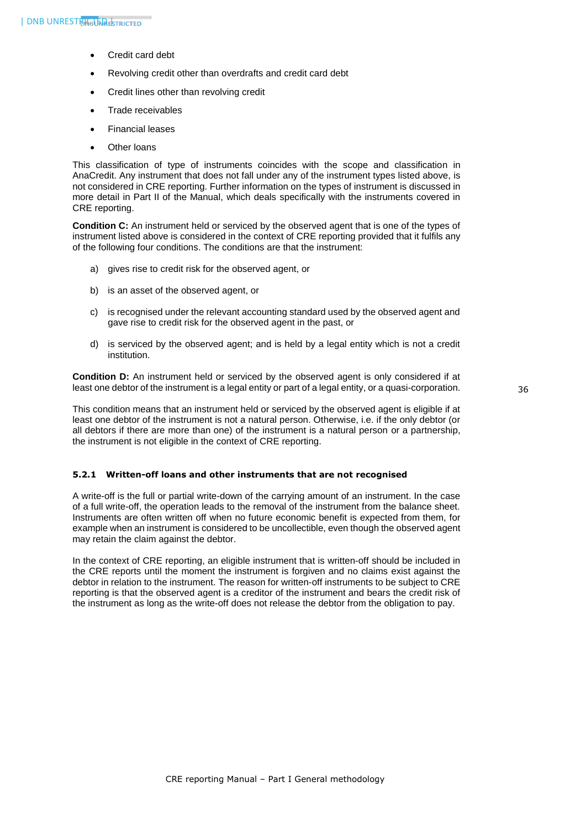- Credit card debt
- Revolving credit other than overdrafts and credit card debt
- Credit lines other than revolving credit
- Trade receivables
- Financial leases
- Other loans

This classification of type of instruments coincides with the scope and classification in AnaCredit. Any instrument that does not fall under any of the instrument types listed above, is not considered in CRE reporting. Further information on the types of instrument is discussed in more detail in Part II of the Manual, which deals specifically with the instruments covered in CRE reporting.

**Condition C:** An instrument held or serviced by the observed agent that is one of the types of instrument listed above is considered in the context of CRE reporting provided that it fulfils any of the following four conditions. The conditions are that the instrument:

- a) gives rise to credit risk for the observed agent, or
- b) is an asset of the observed agent, or
- c) is recognised under the relevant accounting standard used by the observed agent and gave rise to credit risk for the observed agent in the past, or
- d) is serviced by the observed agent; and is held by a legal entity which is not a credit institution.

**Condition D:** An instrument held or serviced by the observed agent is only considered if at least one debtor of the instrument is a legal entity or part of a legal entity, or a quasi-corporation.

This condition means that an instrument held or serviced by the observed agent is eligible if at least one debtor of the instrument is not a natural person. Otherwise, i.e. if the only debtor (or all debtors if there are more than one) of the instrument is a natural person or a partnership, the instrument is not eligible in the context of CRE reporting.

#### <span id="page-36-0"></span>**5.2.1 Written-off loans and other instruments that are not recognised**

A write-off is the full or partial write-down of the carrying amount of an instrument. In the case of a full write-off, the operation leads to the removal of the instrument from the balance sheet. Instruments are often written off when no future economic benefit is expected from them, for example when an instrument is considered to be uncollectible, even though the observed agent may retain the claim against the debtor.

In the context of CRE reporting, an eligible instrument that is written-off should be included in the CRE reports until the moment the instrument is forgiven and no claims exist against the debtor in relation to the instrument. The reason for written-off instruments to be subject to CRE reporting is that the observed agent is a creditor of the instrument and bears the credit risk of the instrument as long as the write-off does not release the debtor from the obligation to pay.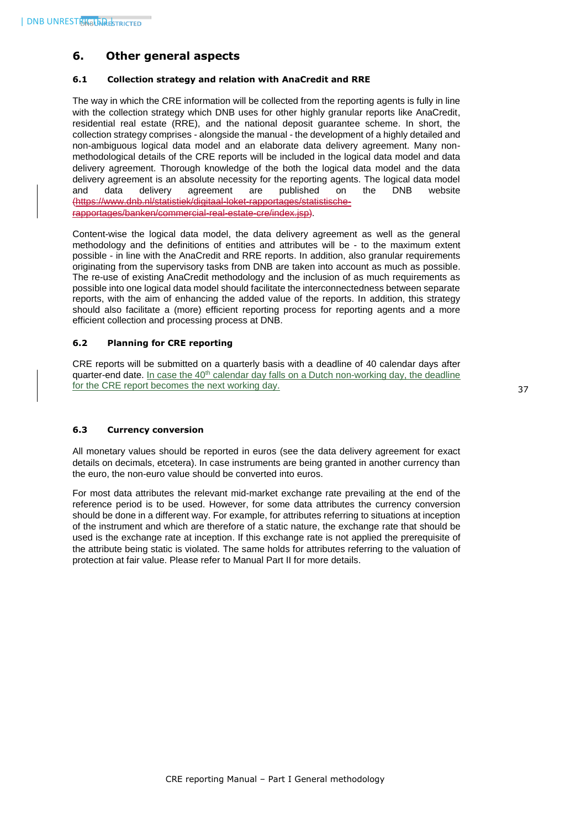# <span id="page-37-0"></span>**6. Other general aspects**

# <span id="page-37-1"></span>**6.1 Collection strategy and relation with AnaCredit and RRE**

The way in which the CRE information will be collected from the reporting agents is fully in line with the collection strategy which DNB uses for other highly granular reports like AnaCredit, residential real estate (RRE), and the national deposit guarantee scheme. In short, the collection strategy comprises - alongside the manual - the development of a highly detailed and non-ambiguous logical data model and an elaborate data delivery agreement. Many nonmethodological details of the CRE reports will be included in the logical data model and data delivery agreement. Thorough knowledge of the both the logical data model and the data delivery agreement is an absolute necessity for the reporting agents. The logical data model and data delivery agreement are published on the DNB website (https://www.dnb.nl/statistiek/digitaal-loket-rapportages/statistischerapportages/banken/commercial-real-estate-cre/index.jsp).

Content-wise the logical data model, the data delivery agreement as well as the general methodology and the definitions of entities and attributes will be - to the maximum extent possible - in line with the AnaCredit and RRE reports. In addition, also granular requirements originating from the supervisory tasks from DNB are taken into account as much as possible. The re-use of existing AnaCredit methodology and the inclusion of as much requirements as possible into one logical data model should facilitate the interconnectedness between separate reports, with the aim of enhancing the added value of the reports. In addition, this strategy should also facilitate a (more) efficient reporting process for reporting agents and a more efficient collection and processing process at DNB.

# <span id="page-37-2"></span>**6.2 Planning for CRE reporting**

CRE reports will be submitted on a quarterly basis with a deadline of 40 calendar days after quarter-end date. In case the  $40<sup>th</sup>$  calendar day falls on a Dutch non-working day, the deadline for the CRE report becomes the next working day.

### <span id="page-37-3"></span>**6.3 Currency conversion**

All monetary values should be reported in euros (see the data delivery agreement for exact details on decimals, etcetera). In case instruments are being granted in another currency than the euro, the non-euro value should be converted into euros.

For most data attributes the relevant mid-market exchange rate prevailing at the end of the reference period is to be used. However, for some data attributes the currency conversion should be done in a different way. For example, for attributes referring to situations at inception of the instrument and which are therefore of a static nature, the exchange rate that should be used is the exchange rate at inception. If this exchange rate is not applied the prerequisite of the attribute being static is violated. The same holds for attributes referring to the valuation of protection at fair value. Please refer to Manual Part II for more details.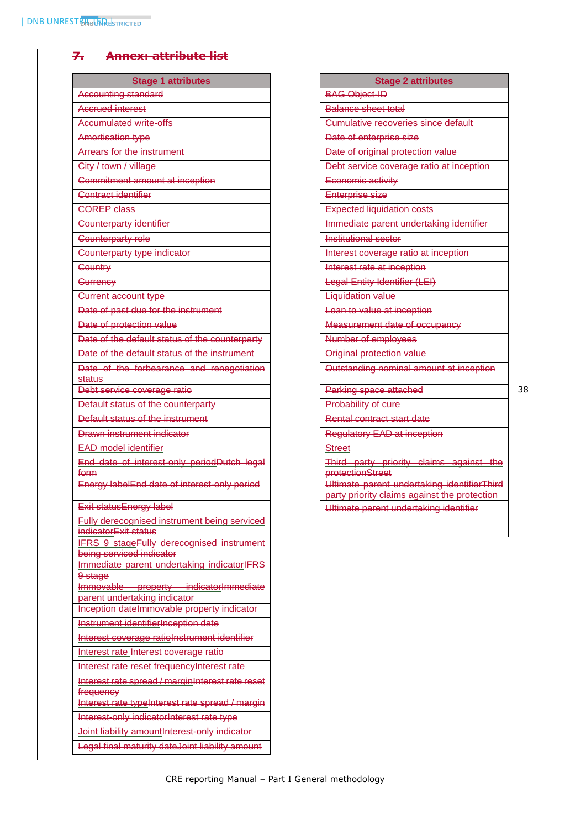# <span id="page-38-0"></span>**7. Annex: attribute list**

| <b>Stage 1 attributes</b>                                              | <b>Stage 2 attributes</b>                                                                   |
|------------------------------------------------------------------------|---------------------------------------------------------------------------------------------|
| <b>Accounting standard</b>                                             | <b>BAG Object-ID</b>                                                                        |
| Accrued interest                                                       | Balance sheet total                                                                         |
| <b>Accumulated write-offs</b>                                          | <b>Cumulative recoveries since default</b>                                                  |
| <b>Amortisation type</b>                                               | Date of enterprise size                                                                     |
| Arrears for the instrument                                             | Date of original protection value                                                           |
| City / town / village                                                  | Debt service coverage ratio at inception                                                    |
| Commitment amount at inception                                         | Economic activity                                                                           |
| Contract identifier                                                    | <b>Enterprise size</b>                                                                      |
| <b>COREP class</b>                                                     | <b>Expected liquidation costs</b>                                                           |
| <b>Counterparty identifier</b>                                         | Immediate parent undertaking identifier                                                     |
| Counterparty role                                                      | <b>Institutional sector</b>                                                                 |
| Counterparty type indicator                                            | Interest coverage ratio at inception                                                        |
|                                                                        |                                                                                             |
| <b>Country</b>                                                         | Interest rate at inception                                                                  |
| Currency                                                               | Legal Entity Identifier (LEI)                                                               |
| <b>Current account type</b>                                            | <b>Liquidation value</b>                                                                    |
| Date of past due for the instrument                                    | Loan to value at inception                                                                  |
| Date of protection value                                               | Measurement date of occupancy                                                               |
| Date of the default status of the counterparty                         | Number of employees                                                                         |
| Date of the default status of the instrument                           | Original protection value                                                                   |
| Date of the forbearance and renegotiation<br>status                    | Outstanding nominal amount at inception                                                     |
| Debt service coverage ratio                                            | Parking space attached                                                                      |
| Default status of the counterparty                                     | Probability of cure                                                                         |
| Default status of the instrument                                       | Rental contract start date                                                                  |
| Drawn instrument indicator                                             | Regulatory EAD at inception                                                                 |
| <b>EAD model identifier</b>                                            | <b>Street</b>                                                                               |
| End date of interest-only periodDutch legal                            | Third party priority claims against the                                                     |
| form                                                                   | <b>protectionStreet</b>                                                                     |
| Energy labelEnd date of interest-only period                           | Ultimate parent undertaking identifierThird<br>party priority claims against the protection |
| <b>Exit status Energy label</b>                                        | Ultimate parent undertaking identifier                                                      |
| <b>Fully derecognised instrument being serviced</b>                    |                                                                                             |
| indicatorExit status                                                   |                                                                                             |
| <b>IFRS 9 stageFully derecognised instrument</b>                       |                                                                                             |
| being serviced indicator<br>Immediate parent undertaking indicatorIFRS |                                                                                             |
| 9 stage                                                                |                                                                                             |
| Immovable property indicatorImmediate                                  |                                                                                             |
| parent undertaking indicator                                           |                                                                                             |
| Inception dateImmovable property indicator                             |                                                                                             |
| Instrument identifierInception date                                    |                                                                                             |
| Interest coverage ratioInstrument identifier                           |                                                                                             |
| Interest rate Interest coverage ratio                                  |                                                                                             |
| Interest rate reset frequencyInterest rate                             |                                                                                             |
| Interest rate spread / marginInterest rate reset                       |                                                                                             |
| frequency<br>Interest rate typeInterest rate spread / margin           |                                                                                             |
|                                                                        |                                                                                             |
| Interest-only indicatorInterest rate type                              |                                                                                             |
| Joint liability amountInterest-only indicator                          |                                                                                             |
| Legal final maturity dateJoint liability amount                        |                                                                                             |

| <b>BAG Object-ID</b><br><b>Balance sheet total</b><br><b>Cumulative recoveries since default</b><br>Date of enterprise size |  |
|-----------------------------------------------------------------------------------------------------------------------------|--|
|                                                                                                                             |  |
|                                                                                                                             |  |
|                                                                                                                             |  |
|                                                                                                                             |  |
| Date of original protection value                                                                                           |  |
| Debt service coverage ratio at inception                                                                                    |  |
| Economic activity                                                                                                           |  |
| <b>Enterprise size</b>                                                                                                      |  |
| <b>Expected liquidation costs</b>                                                                                           |  |
| Immediate parent undertaking identifier                                                                                     |  |
| Institutional sector                                                                                                        |  |
| Interest coverage ratio at inception                                                                                        |  |
| Interest rate at inception                                                                                                  |  |
| Legal Entity Identifier (LEI)                                                                                               |  |
| <b>Liquidation value</b>                                                                                                    |  |
| Loan to value at inception                                                                                                  |  |
| Measurement date of occupancy                                                                                               |  |
| Number of employees                                                                                                         |  |
| Original protection value                                                                                                   |  |
| Outstanding nominal amount at inception                                                                                     |  |
| Parking space attached                                                                                                      |  |
| Probability of cure                                                                                                         |  |
| Rental contract start date                                                                                                  |  |
| Regulatory EAD at inception                                                                                                 |  |
| <b>Street</b>                                                                                                               |  |
| Third party priority claims against the                                                                                     |  |
| <b>protectionStreet</b>                                                                                                     |  |
| Ultimate parent undertaking identifierThird                                                                                 |  |
| party priority claims against the protection<br>Ultimate parent undertaking identifier                                      |  |
|                                                                                                                             |  |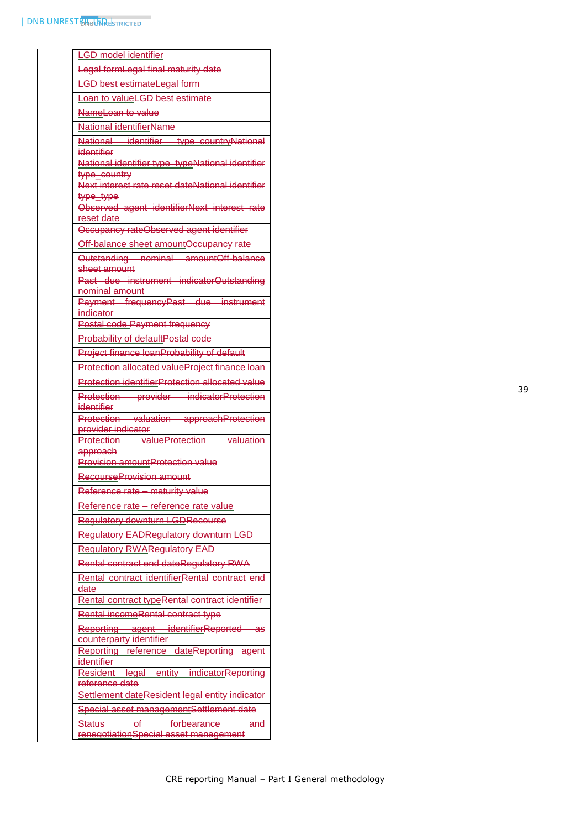| <b>LGD</b> model identifier                                      |  |  |
|------------------------------------------------------------------|--|--|
| Legal formLegal final maturity date                              |  |  |
| <b>LGD best estimateLegal form</b>                               |  |  |
| Loan to valueLGD best estimate                                   |  |  |
| NameLoan to value                                                |  |  |
| National identifierName                                          |  |  |
| National identifier type countryNational                         |  |  |
| identifier                                                       |  |  |
| National identifier type typeNational identifier                 |  |  |
| type_country<br>Next interest rate reset dateNational identifier |  |  |
| <del>type_type</del>                                             |  |  |
| Observed agent identifierNext interest rate                      |  |  |
| reset date                                                       |  |  |
| Occupancy rateObserved agent identifier                          |  |  |
| Off-balance sheet amountOccupancy rate                           |  |  |
| Outstanding nominal amountOff-balance                            |  |  |
| sheet amount<br>Past due instrument indicatorOutstanding         |  |  |
| nominal amount                                                   |  |  |
| Payment frequencyPast due instrument                             |  |  |
| indicator                                                        |  |  |
| <b>Postal code Payment frequency</b>                             |  |  |
| <b>Probability of defaultPostal code</b>                         |  |  |
| <b>Project finance loanProbability of default</b>                |  |  |
| Protection allocated valueProject finance loan                   |  |  |
| Protection identifierProtection allocated value                  |  |  |
| Protection provider indicatorProtection                          |  |  |
| identifier                                                       |  |  |
| Protection valuation approachProtection<br>provider indicator    |  |  |
| Protection valueProtection valuation                             |  |  |
| approach                                                         |  |  |
| <b>Provision amountProtection value</b>                          |  |  |
| <b>RecourseProvision amount</b>                                  |  |  |
| Reference rate - maturity value                                  |  |  |
| Reference rate - reference rate value                            |  |  |
| <b>Regulatory downturn LGDRecourse</b>                           |  |  |
| Regulatory EADRegulatory downturn LGD                            |  |  |
| <b>Regulatory RWARegulatory EAD</b>                              |  |  |
| Rental contract end dateRegulatory RWA                           |  |  |
| Rental contract identifierRental contract end                    |  |  |
| date                                                             |  |  |
| Rental contract typeRental contract identifier                   |  |  |
| Rental incomeRental contract type                                |  |  |
| Reporting agent identifierReported as                            |  |  |
| counterparty identifier                                          |  |  |
| Reporting reference dateReporting agent                          |  |  |
| identifier<br>Resident legal entity indicatorReporting           |  |  |
| reference date                                                   |  |  |
| Settlement dateResident legal entity indicator                   |  |  |
| Special asset managementSettlement date                          |  |  |
| Status of forbearance<br>-and                                    |  |  |
| renegotiationSpecial asset management                            |  |  |